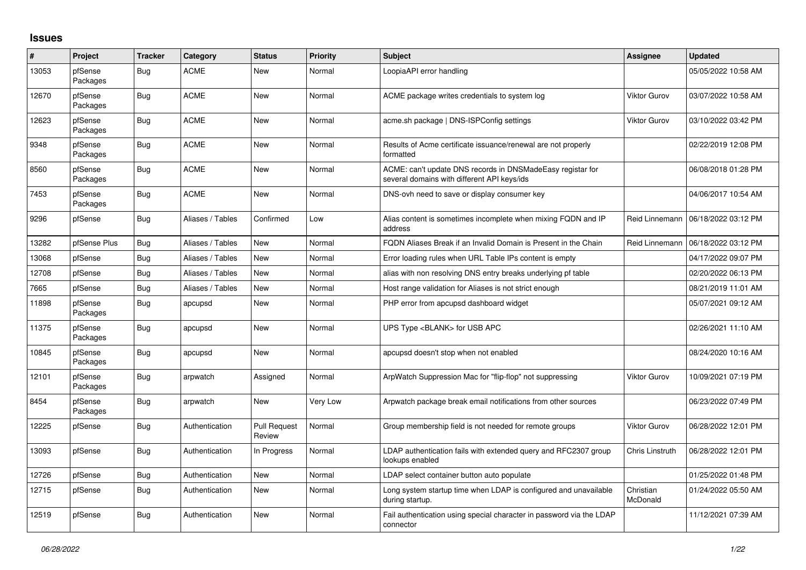## **Issues**

| #     | Project             | <b>Tracker</b> | Category         | <b>Status</b>                 | <b>Priority</b> | <b>Subject</b>                                                                                            | <b>Assignee</b>       | <b>Updated</b>      |
|-------|---------------------|----------------|------------------|-------------------------------|-----------------|-----------------------------------------------------------------------------------------------------------|-----------------------|---------------------|
| 13053 | pfSense<br>Packages | Bug            | <b>ACME</b>      | New                           | Normal          | LoopiaAPI error handling                                                                                  |                       | 05/05/2022 10:58 AM |
| 12670 | pfSense<br>Packages | Bug            | <b>ACME</b>      | <b>New</b>                    | Normal          | ACME package writes credentials to system log                                                             | <b>Viktor Gurov</b>   | 03/07/2022 10:58 AM |
| 12623 | pfSense<br>Packages | Bug            | <b>ACME</b>      | New                           | Normal          | acme.sh package   DNS-ISPConfig settings                                                                  | <b>Viktor Gurov</b>   | 03/10/2022 03:42 PM |
| 9348  | pfSense<br>Packages | <b>Bug</b>     | <b>ACME</b>      | New                           | Normal          | Results of Acme certificate issuance/renewal are not properly<br>formatted                                |                       | 02/22/2019 12:08 PM |
| 8560  | pfSense<br>Packages | <b>Bug</b>     | <b>ACME</b>      | <b>New</b>                    | Normal          | ACME: can't update DNS records in DNSMadeEasy registar for<br>several domains with different API keys/ids |                       | 06/08/2018 01:28 PM |
| 7453  | pfSense<br>Packages | Bug            | <b>ACME</b>      | <b>New</b>                    | Normal          | DNS-ovh need to save or display consumer key                                                              |                       | 04/06/2017 10:54 AM |
| 9296  | pfSense             | Bug            | Aliases / Tables | Confirmed                     | Low             | Alias content is sometimes incomplete when mixing FQDN and IP<br>address                                  | Reid Linnemann        | 06/18/2022 03:12 PM |
| 13282 | pfSense Plus        | Bug            | Aliases / Tables | <b>New</b>                    | Normal          | FQDN Aliases Break if an Invalid Domain is Present in the Chain                                           | Reid Linnemann        | 06/18/2022 03:12 PM |
| 13068 | pfSense             | Bug            | Aliases / Tables | New                           | Normal          | Error loading rules when URL Table IPs content is empty                                                   |                       | 04/17/2022 09:07 PM |
| 12708 | pfSense             | <b>Bug</b>     | Aliases / Tables | New                           | Normal          | alias with non resolving DNS entry breaks underlying pf table                                             |                       | 02/20/2022 06:13 PM |
| 7665  | pfSense             | Bug            | Aliases / Tables | <b>New</b>                    | Normal          | Host range validation for Aliases is not strict enough                                                    |                       | 08/21/2019 11:01 AM |
| 11898 | pfSense<br>Packages | Bug            | apcupsd          | <b>New</b>                    | Normal          | PHP error from apcupsd dashboard widget                                                                   |                       | 05/07/2021 09:12 AM |
| 11375 | pfSense<br>Packages | Bug            | apcupsd          | New                           | Normal          | UPS Type <blank> for USB APC</blank>                                                                      |                       | 02/26/2021 11:10 AM |
| 10845 | pfSense<br>Packages | <b>Bug</b>     | apcupsd          | <b>New</b>                    | Normal          | apcupsd doesn't stop when not enabled                                                                     |                       | 08/24/2020 10:16 AM |
| 12101 | pfSense<br>Packages | <b>Bug</b>     | arpwatch         | Assigned                      | Normal          | ArpWatch Suppression Mac for "flip-flop" not suppressing                                                  | Viktor Gurov          | 10/09/2021 07:19 PM |
| 8454  | pfSense<br>Packages | Bug            | arpwatch         | New                           | Very Low        | Arpwatch package break email notifications from other sources                                             |                       | 06/23/2022 07:49 PM |
| 12225 | pfSense             | Bug            | Authentication   | <b>Pull Request</b><br>Review | Normal          | Group membership field is not needed for remote groups                                                    | <b>Viktor Gurov</b>   | 06/28/2022 12:01 PM |
| 13093 | pfSense             | Bug            | Authentication   | In Progress                   | Normal          | LDAP authentication fails with extended query and RFC2307 group<br>lookups enabled                        | Chris Linstruth       | 06/28/2022 12:01 PM |
| 12726 | pfSense             | Bug            | Authentication   | New                           | Normal          | LDAP select container button auto populate                                                                |                       | 01/25/2022 01:48 PM |
| 12715 | pfSense             | Bug            | Authentication   | <b>New</b>                    | Normal          | Long system startup time when LDAP is configured and unavailable<br>during startup.                       | Christian<br>McDonald | 01/24/2022 05:50 AM |
| 12519 | pfSense             | Bug            | Authentication   | New                           | Normal          | Fail authentication using special character in password via the LDAP<br>connector                         |                       | 11/12/2021 07:39 AM |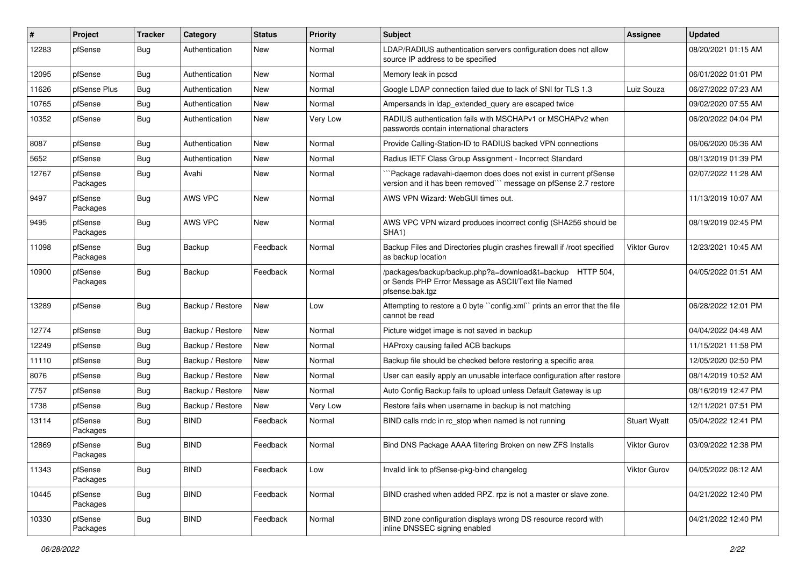| #     | Project             | <b>Tracker</b> | Category         | <b>Status</b> | Priority | <b>Subject</b>                                                                                                                      | <b>Assignee</b>     | <b>Updated</b>      |
|-------|---------------------|----------------|------------------|---------------|----------|-------------------------------------------------------------------------------------------------------------------------------------|---------------------|---------------------|
| 12283 | pfSense             | Bug            | Authentication   | New           | Normal   | LDAP/RADIUS authentication servers configuration does not allow<br>source IP address to be specified                                |                     | 08/20/2021 01:15 AM |
| 12095 | pfSense             | Bug            | Authentication   | New           | Normal   | Memory leak in pcscd                                                                                                                |                     | 06/01/2022 01:01 PM |
| 11626 | pfSense Plus        | <b>Bug</b>     | Authentication   | New           | Normal   | Google LDAP connection failed due to lack of SNI for TLS 1.3                                                                        | Luiz Souza          | 06/27/2022 07:23 AM |
| 10765 | pfSense             | Bug            | Authentication   | <b>New</b>    | Normal   | Ampersands in Idap extended query are escaped twice                                                                                 |                     | 09/02/2020 07:55 AM |
| 10352 | pfSense             | Bug            | Authentication   | New           | Very Low | RADIUS authentication fails with MSCHAPv1 or MSCHAPv2 when<br>passwords contain international characters                            |                     | 06/20/2022 04:04 PM |
| 8087  | pfSense             | Bug            | Authentication   | <b>New</b>    | Normal   | Provide Calling-Station-ID to RADIUS backed VPN connections                                                                         |                     | 06/06/2020 05:36 AM |
| 5652  | pfSense             | Bug            | Authentication   | New           | Normal   | Radius IETF Class Group Assignment - Incorrect Standard                                                                             |                     | 08/13/2019 01:39 PM |
| 12767 | pfSense<br>Packages | Bug            | Avahi            | <b>New</b>    | Normal   | `Package radavahi-daemon does does not exist in current pfSense<br>version and it has been removed" message on pfSense 2.7 restore  |                     | 02/07/2022 11:28 AM |
| 9497  | pfSense<br>Packages | Bug            | AWS VPC          | New           | Normal   | AWS VPN Wizard: WebGUI times out.                                                                                                   |                     | 11/13/2019 10:07 AM |
| 9495  | pfSense<br>Packages | Bug            | AWS VPC          | <b>New</b>    | Normal   | AWS VPC VPN wizard produces incorrect config (SHA256 should be<br>SHA1)                                                             |                     | 08/19/2019 02:45 PM |
| 11098 | pfSense<br>Packages | Bug            | Backup           | Feedback      | Normal   | Backup Files and Directories plugin crashes firewall if /root specified<br>as backup location                                       | <b>Viktor Gurov</b> | 12/23/2021 10:45 AM |
| 10900 | pfSense<br>Packages | Bug            | Backup           | Feedback      | Normal   | /packages/backup/backup.php?a=download&t=backup HTTP 504,<br>or Sends PHP Error Message as ASCII/Text file Named<br>pfsense.bak.tgz |                     | 04/05/2022 01:51 AM |
| 13289 | pfSense             | Bug            | Backup / Restore | <b>New</b>    | Low      | Attempting to restore a 0 byte "config.xml" prints an error that the file<br>cannot be read                                         |                     | 06/28/2022 12:01 PM |
| 12774 | pfSense             | Bug            | Backup / Restore | New           | Normal   | Picture widget image is not saved in backup                                                                                         |                     | 04/04/2022 04:48 AM |
| 12249 | pfSense             | Bug            | Backup / Restore | <b>New</b>    | Normal   | HAProxy causing failed ACB backups                                                                                                  |                     | 11/15/2021 11:58 PM |
| 11110 | pfSense             | Bug            | Backup / Restore | <b>New</b>    | Normal   | Backup file should be checked before restoring a specific area                                                                      |                     | 12/05/2020 02:50 PM |
| 8076  | pfSense             | <b>Bug</b>     | Backup / Restore | New           | Normal   | User can easily apply an unusable interface configuration after restore                                                             |                     | 08/14/2019 10:52 AM |
| 7757  | pfSense             | Bug            | Backup / Restore | <b>New</b>    | Normal   | Auto Config Backup fails to upload unless Default Gateway is up                                                                     |                     | 08/16/2019 12:47 PM |
| 1738  | pfSense             | Bug            | Backup / Restore | New           | Very Low | Restore fails when username in backup is not matching                                                                               |                     | 12/11/2021 07:51 PM |
| 13114 | pfSense<br>Packages | Bug            | <b>BIND</b>      | Feedback      | Normal   | BIND calls rndc in rc stop when named is not running                                                                                | <b>Stuart Wyatt</b> | 05/04/2022 12:41 PM |
| 12869 | pfSense<br>Packages | Bug            | <b>BIND</b>      | Feedback      | Normal   | Bind DNS Package AAAA filtering Broken on new ZFS Installs                                                                          | <b>Viktor Gurov</b> | 03/09/2022 12:38 PM |
| 11343 | pfSense<br>Packages | Bug            | <b>BIND</b>      | Feedback      | Low      | Invalid link to pfSense-pkg-bind changelog                                                                                          | Viktor Gurov        | 04/05/2022 08:12 AM |
| 10445 | pfSense<br>Packages | <b>Bug</b>     | <b>BIND</b>      | Feedback      | Normal   | BIND crashed when added RPZ. rpz is not a master or slave zone.                                                                     |                     | 04/21/2022 12:40 PM |
| 10330 | pfSense<br>Packages | <b>Bug</b>     | <b>BIND</b>      | Feedback      | Normal   | BIND zone configuration displays wrong DS resource record with<br>inline DNSSEC signing enabled                                     |                     | 04/21/2022 12:40 PM |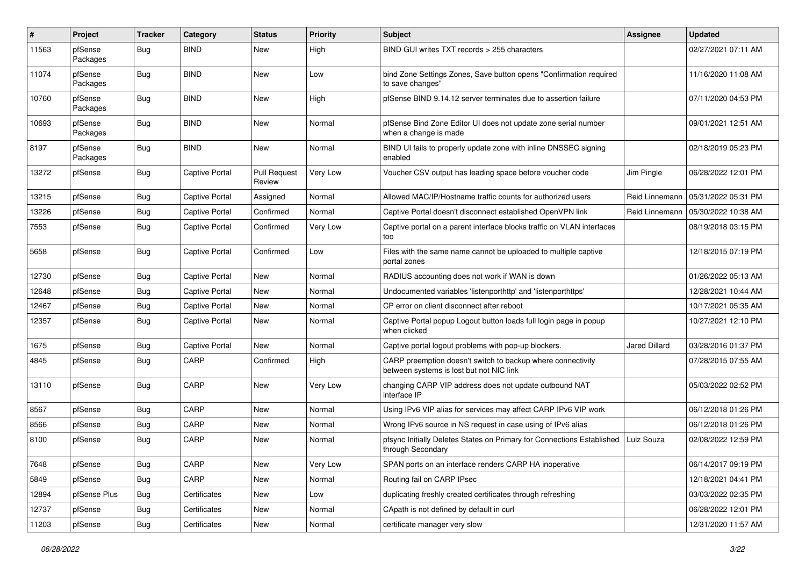| #     | Project             | <b>Tracker</b> | Category              | <b>Status</b>                 | <b>Priority</b> | Subject                                                                                                 | <b>Assignee</b>      | <b>Updated</b>      |
|-------|---------------------|----------------|-----------------------|-------------------------------|-----------------|---------------------------------------------------------------------------------------------------------|----------------------|---------------------|
| 11563 | pfSense<br>Packages | Bug            | <b>BIND</b>           | <b>New</b>                    | High            | BIND GUI writes TXT records > 255 characters                                                            |                      | 02/27/2021 07:11 AM |
| 11074 | pfSense<br>Packages | Bug            | <b>BIND</b>           | <b>New</b>                    | Low             | bind Zone Settings Zones, Save button opens "Confirmation required<br>to save changes"                  |                      | 11/16/2020 11:08 AM |
| 10760 | pfSense<br>Packages | Bug            | <b>BIND</b>           | <b>New</b>                    | High            | pfSense BIND 9.14.12 server terminates due to assertion failure                                         |                      | 07/11/2020 04:53 PM |
| 10693 | pfSense<br>Packages | Bug            | <b>BIND</b>           | <b>New</b>                    | Normal          | pfSense Bind Zone Editor UI does not update zone serial number<br>when a change is made                 |                      | 09/01/2021 12:51 AM |
| 8197  | pfSense<br>Packages | Bug            | <b>BIND</b>           | <b>New</b>                    | Normal          | BIND UI fails to properly update zone with inline DNSSEC signing<br>enabled                             |                      | 02/18/2019 05:23 PM |
| 13272 | pfSense             | Bug            | <b>Captive Portal</b> | <b>Pull Request</b><br>Review | Very Low        | Voucher CSV output has leading space before voucher code                                                | Jim Pingle           | 06/28/2022 12:01 PM |
| 13215 | pfSense             | Bug            | <b>Captive Portal</b> | Assigned                      | Normal          | Allowed MAC/IP/Hostname traffic counts for authorized users                                             | Reid Linnemann       | 05/31/2022 05:31 PM |
| 13226 | pfSense             | Bug            | Captive Portal        | Confirmed                     | Normal          | Captive Portal doesn't disconnect established OpenVPN link                                              | Reid Linnemann       | 05/30/2022 10:38 AM |
| 7553  | pfSense             | Bug            | <b>Captive Portal</b> | Confirmed                     | Very Low        | Captive portal on a parent interface blocks traffic on VLAN interfaces<br>too                           |                      | 08/19/2018 03:15 PM |
| 5658  | pfSense             | Bug            | <b>Captive Portal</b> | Confirmed                     | Low             | Files with the same name cannot be uploaded to multiple captive<br>portal zones                         |                      | 12/18/2015 07:19 PM |
| 12730 | pfSense             | Bug            | <b>Captive Portal</b> | New                           | Normal          | RADIUS accounting does not work if WAN is down                                                          |                      | 01/26/2022 05:13 AM |
| 12648 | pfSense             | Bug            | <b>Captive Portal</b> | <b>New</b>                    | Normal          | Undocumented variables 'listenporthttp' and 'listenporthttps'                                           |                      | 12/28/2021 10:44 AM |
| 12467 | pfSense             | Bug            | <b>Captive Portal</b> | <b>New</b>                    | Normal          | CP error on client disconnect after reboot                                                              |                      | 10/17/2021 05:35 AM |
| 12357 | pfSense             | Bug            | <b>Captive Portal</b> | New                           | Normal          | Captive Portal popup Logout button loads full login page in popup<br>when clicked                       |                      | 10/27/2021 12:10 PM |
| 1675  | pfSense             | Bug            | <b>Captive Portal</b> | <b>New</b>                    | Normal          | Captive portal logout problems with pop-up blockers.                                                    | <b>Jared Dillard</b> | 03/28/2016 01:37 PM |
| 4845  | pfSense             | Bug            | CARP                  | Confirmed                     | High            | CARP preemption doesn't switch to backup where connectivity<br>between systems is lost but not NIC link |                      | 07/28/2015 07:55 AM |
| 13110 | pfSense             | Bug            | CARP                  | New                           | Very Low        | changing CARP VIP address does not update outbound NAT<br>interface IP                                  |                      | 05/03/2022 02:52 PM |
| 8567  | pfSense             | Bug            | CARP                  | <b>New</b>                    | Normal          | Using IPv6 VIP alias for services may affect CARP IPv6 VIP work                                         |                      | 06/12/2018 01:26 PM |
| 8566  | pfSense             | Bug            | CARP                  | New                           | Normal          | Wrong IPv6 source in NS request in case using of IPv6 alias                                             |                      | 06/12/2018 01:26 PM |
| 8100  | pfSense             | Bug            | CARP                  | New                           | Normal          | pfsync Initially Deletes States on Primary for Connections Established<br>through Secondary             | Luiz Souza           | 02/08/2022 12:59 PM |
| 7648  | pfSense             | <b>Bug</b>     | CARP                  | New                           | Very Low        | SPAN ports on an interface renders CARP HA inoperative                                                  |                      | 06/14/2017 09:19 PM |
| 5849  | pfSense             | Bug            | CARP                  | New                           | Normal          | Routing fail on CARP IPsec                                                                              |                      | 12/18/2021 04:41 PM |
| 12894 | pfSense Plus        | <b>Bug</b>     | Certificates          | New                           | Low             | duplicating freshly created certificates through refreshing                                             |                      | 03/03/2022 02:35 PM |
| 12737 | pfSense             | <b>Bug</b>     | Certificates          | New                           | Normal          | CApath is not defined by default in curl                                                                |                      | 06/28/2022 12:01 PM |
| 11203 | pfSense             | <b>Bug</b>     | Certificates          | New                           | Normal          | certificate manager very slow                                                                           |                      | 12/31/2020 11:57 AM |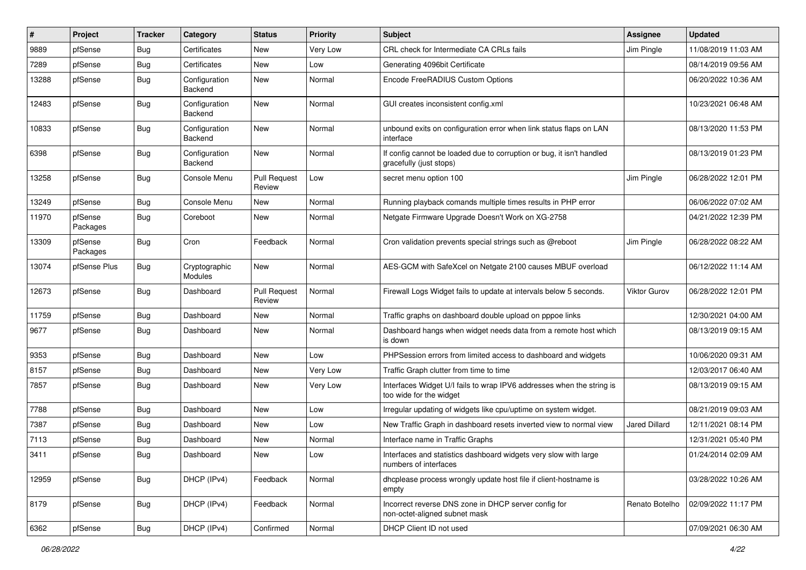| #     | Project             | <b>Tracker</b> | Category                 | <b>Status</b>                 | Priority | <b>Subject</b>                                                                                   | <b>Assignee</b>      | <b>Updated</b>      |
|-------|---------------------|----------------|--------------------------|-------------------------------|----------|--------------------------------------------------------------------------------------------------|----------------------|---------------------|
| 9889  | pfSense             | Bug            | Certificates             | New                           | Very Low | CRL check for Intermediate CA CRLs fails                                                         | Jim Pingle           | 11/08/2019 11:03 AM |
| 7289  | pfSense             | Bug            | Certificates             | <b>New</b>                    | Low      | Generating 4096bit Certificate                                                                   |                      | 08/14/2019 09:56 AM |
| 13288 | pfSense             | Bug            | Configuration<br>Backend | New                           | Normal   | Encode FreeRADIUS Custom Options                                                                 |                      | 06/20/2022 10:36 AM |
| 12483 | pfSense             | Bug            | Configuration<br>Backend | <b>New</b>                    | Normal   | GUI creates inconsistent config.xml                                                              |                      | 10/23/2021 06:48 AM |
| 10833 | pfSense             | Bug            | Configuration<br>Backend | New                           | Normal   | unbound exits on configuration error when link status flaps on LAN<br>interface                  |                      | 08/13/2020 11:53 PM |
| 6398  | pfSense             | Bug            | Configuration<br>Backend | New                           | Normal   | If config cannot be loaded due to corruption or bug, it isn't handled<br>gracefully (just stops) |                      | 08/13/2019 01:23 PM |
| 13258 | pfSense             | <b>Bug</b>     | Console Menu             | <b>Pull Request</b><br>Review | Low      | secret menu option 100                                                                           | Jim Pingle           | 06/28/2022 12:01 PM |
| 13249 | pfSense             | Bug            | Console Menu             | New                           | Normal   | Running playback comands multiple times results in PHP error                                     |                      | 06/06/2022 07:02 AM |
| 11970 | pfSense<br>Packages | <b>Bug</b>     | Coreboot                 | New                           | Normal   | Netgate Firmware Upgrade Doesn't Work on XG-2758                                                 |                      | 04/21/2022 12:39 PM |
| 13309 | pfSense<br>Packages | <b>Bug</b>     | Cron                     | Feedback                      | Normal   | Cron validation prevents special strings such as @reboot                                         | Jim Pingle           | 06/28/2022 08:22 AM |
| 13074 | pfSense Plus        | <b>Bug</b>     | Cryptographic<br>Modules | New                           | Normal   | AES-GCM with SafeXcel on Netgate 2100 causes MBUF overload                                       |                      | 06/12/2022 11:14 AM |
| 12673 | pfSense             | Bug            | Dashboard                | <b>Pull Request</b><br>Review | Normal   | Firewall Logs Widget fails to update at intervals below 5 seconds.                               | Viktor Gurov         | 06/28/2022 12:01 PM |
| 11759 | pfSense             | Bug            | Dashboard                | <b>New</b>                    | Normal   | Traffic graphs on dashboard double upload on pppoe links                                         |                      | 12/30/2021 04:00 AM |
| 9677  | pfSense             | Bug            | Dashboard                | New                           | Normal   | Dashboard hangs when widget needs data from a remote host which<br>is down                       |                      | 08/13/2019 09:15 AM |
| 9353  | pfSense             | Bug            | Dashboard                | New                           | Low      | PHPSession errors from limited access to dashboard and widgets                                   |                      | 10/06/2020 09:31 AM |
| 8157  | pfSense             | Bug            | Dashboard                | New                           | Very Low | Traffic Graph clutter from time to time                                                          |                      | 12/03/2017 06:40 AM |
| 7857  | pfSense             | Bug            | Dashboard                | <b>New</b>                    | Very Low | Interfaces Widget U/I fails to wrap IPV6 addresses when the string is<br>too wide for the widget |                      | 08/13/2019 09:15 AM |
| 7788  | pfSense             | Bug            | Dashboard                | New                           | Low      | Irregular updating of widgets like cpu/uptime on system widget.                                  |                      | 08/21/2019 09:03 AM |
| 7387  | pfSense             | Bug            | Dashboard                | New                           | Low      | New Traffic Graph in dashboard resets inverted view to normal view                               | <b>Jared Dillard</b> | 12/11/2021 08:14 PM |
| 7113  | pfSense             | Bug            | Dashboard                | New                           | Normal   | Interface name in Traffic Graphs                                                                 |                      | 12/31/2021 05:40 PM |
| 3411  | pfSense             | <b>Bug</b>     | Dashboard                | New                           | Low      | Interfaces and statistics dashboard widgets very slow with large<br>numbers of interfaces        |                      | 01/24/2014 02:09 AM |
| 12959 | pfSense             | Bug            | DHCP (IPv4)              | Feedback                      | Normal   | dhcplease process wrongly update host file if client-hostname is<br>empty                        |                      | 03/28/2022 10:26 AM |
| 8179  | pfSense             | Bug            | DHCP (IPv4)              | Feedback                      | Normal   | Incorrect reverse DNS zone in DHCP server config for<br>non-octet-aligned subnet mask            | Renato Botelho       | 02/09/2022 11:17 PM |
| 6362  | pfSense             | <b>Bug</b>     | DHCP (IPv4)              | Confirmed                     | Normal   | DHCP Client ID not used                                                                          |                      | 07/09/2021 06:30 AM |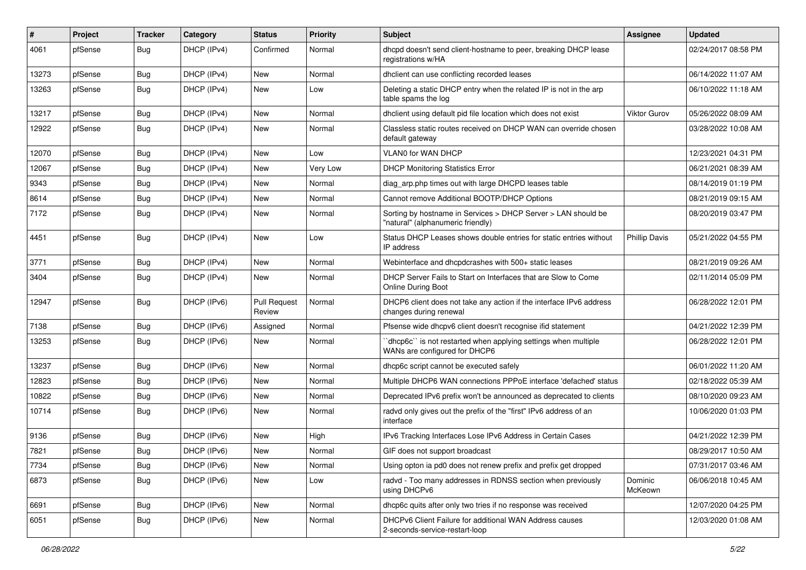| $\#$  | Project | <b>Tracker</b> | Category    | <b>Status</b>                 | <b>Priority</b> | <b>Subject</b>                                                                                     | <b>Assignee</b>      | <b>Updated</b>      |
|-------|---------|----------------|-------------|-------------------------------|-----------------|----------------------------------------------------------------------------------------------------|----------------------|---------------------|
| 4061  | pfSense | Bug            | DHCP (IPv4) | Confirmed                     | Normal          | dhcpd doesn't send client-hostname to peer, breaking DHCP lease<br>registrations w/HA              |                      | 02/24/2017 08:58 PM |
| 13273 | pfSense | Bug            | DHCP (IPv4) | New                           | Normal          | dhclient can use conflicting recorded leases                                                       |                      | 06/14/2022 11:07 AM |
| 13263 | pfSense | Bug            | DHCP (IPv4) | <b>New</b>                    | Low             | Deleting a static DHCP entry when the related IP is not in the arp<br>table spams the log          |                      | 06/10/2022 11:18 AM |
| 13217 | pfSense | Bug            | DHCP (IPv4) | <b>New</b>                    | Normal          | dhclient using default pid file location which does not exist                                      | <b>Viktor Gurov</b>  | 05/26/2022 08:09 AM |
| 12922 | pfSense | Bug            | DHCP (IPv4) | New                           | Normal          | Classless static routes received on DHCP WAN can override chosen<br>default gateway                |                      | 03/28/2022 10:08 AM |
| 12070 | pfSense | Bug            | DHCP (IPv4) | <b>New</b>                    | Low             | <b>VLANO for WAN DHCP</b>                                                                          |                      | 12/23/2021 04:31 PM |
| 12067 | pfSense | Bug            | DHCP (IPv4) | <b>New</b>                    | Very Low        | <b>DHCP Monitoring Statistics Error</b>                                                            |                      | 06/21/2021 08:39 AM |
| 9343  | pfSense | Bug            | DHCP (IPv4) | New                           | Normal          | diag_arp.php times out with large DHCPD leases table                                               |                      | 08/14/2019 01:19 PM |
| 8614  | pfSense | Bug            | DHCP (IPv4) | <b>New</b>                    | Normal          | Cannot remove Additional BOOTP/DHCP Options                                                        |                      | 08/21/2019 09:15 AM |
| 7172  | pfSense | Bug            | DHCP (IPv4) | <b>New</b>                    | Normal          | Sorting by hostname in Services > DHCP Server > LAN should be<br>"natural" (alphanumeric friendly) |                      | 08/20/2019 03:47 PM |
| 4451  | pfSense | Bug            | DHCP (IPv4) | <b>New</b>                    | Low             | Status DHCP Leases shows double entries for static entries without<br>IP address                   | <b>Phillip Davis</b> | 05/21/2022 04:55 PM |
| 3771  | pfSense | Bug            | DHCP (IPv4) | <b>New</b>                    | Normal          | Webinterface and dhcpdcrashes with 500+ static leases                                              |                      | 08/21/2019 09:26 AM |
| 3404  | pfSense | Bug            | DHCP (IPv4) | <b>New</b>                    | Normal          | DHCP Server Fails to Start on Interfaces that are Slow to Come<br><b>Online During Boot</b>        |                      | 02/11/2014 05:09 PM |
| 12947 | pfSense | Bug            | DHCP (IPv6) | <b>Pull Request</b><br>Review | Normal          | DHCP6 client does not take any action if the interface IPv6 address<br>changes during renewal      |                      | 06/28/2022 12:01 PM |
| 7138  | pfSense | Bug            | DHCP (IPv6) | Assigned                      | Normal          | Pfsense wide dhcpv6 client doesn't recognise ifid statement                                        |                      | 04/21/2022 12:39 PM |
| 13253 | pfSense | Bug            | DHCP (IPv6) | <b>New</b>                    | Normal          | 'dhcp6c' is not restarted when applying settings when multiple<br>WANs are configured for DHCP6    |                      | 06/28/2022 12:01 PM |
| 13237 | pfSense | Bug            | DHCP (IPv6) | <b>New</b>                    | Normal          | dhcp6c script cannot be executed safely                                                            |                      | 06/01/2022 11:20 AM |
| 12823 | pfSense | Bug            | DHCP (IPv6) | <b>New</b>                    | Normal          | Multiple DHCP6 WAN connections PPPoE interface 'defached' status                                   |                      | 02/18/2022 05:39 AM |
| 10822 | pfSense | Bug            | DHCP (IPv6) | <b>New</b>                    | Normal          | Deprecated IPv6 prefix won't be announced as deprecated to clients                                 |                      | 08/10/2020 09:23 AM |
| 10714 | pfSense | Bug            | DHCP (IPv6) | New                           | Normal          | radvd only gives out the prefix of the "first" IPv6 address of an<br>interface                     |                      | 10/06/2020 01:03 PM |
| 9136  | pfSense | Bug            | DHCP (IPv6) | New                           | High            | IPv6 Tracking Interfaces Lose IPv6 Address in Certain Cases                                        |                      | 04/21/2022 12:39 PM |
| 7821  | pfSense | Bug            | DHCP (IPv6) | New                           | Normal          | GIF does not support broadcast                                                                     |                      | 08/29/2017 10:50 AM |
| 7734  | pfSense | Bug            | DHCP (IPv6) | New                           | Normal          | Using opton ia pd0 does not renew prefix and prefix get dropped                                    |                      | 07/31/2017 03:46 AM |
| 6873  | pfSense | <b>Bug</b>     | DHCP (IPv6) | New                           | Low             | radvd - Too many addresses in RDNSS section when previously<br>using DHCPv6                        | Dominic<br>McKeown   | 06/06/2018 10:45 AM |
| 6691  | pfSense | <b>Bug</b>     | DHCP (IPv6) | New                           | Normal          | dhcp6c quits after only two tries if no response was received                                      |                      | 12/07/2020 04:25 PM |
| 6051  | pfSense | Bug            | DHCP (IPv6) | New                           | Normal          | DHCPv6 Client Failure for additional WAN Address causes<br>2-seconds-service-restart-loop          |                      | 12/03/2020 01:08 AM |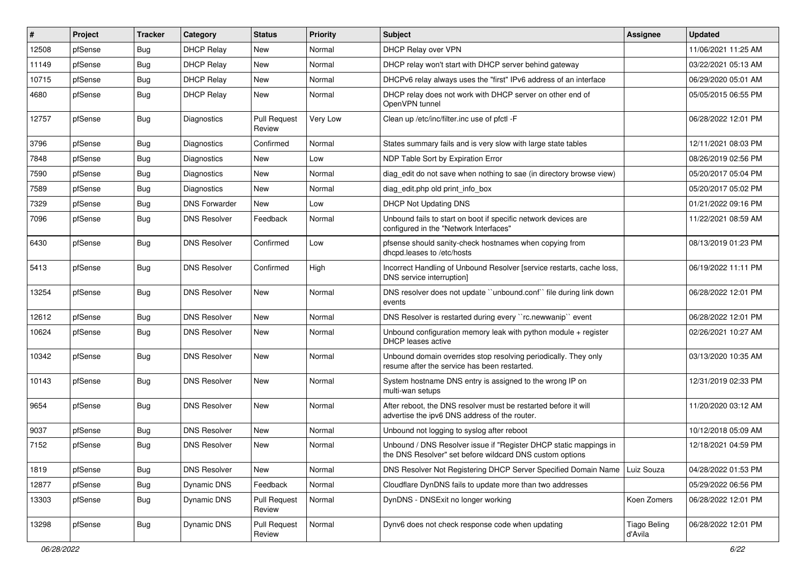| #     | Project | <b>Tracker</b> | Category             | <b>Status</b>                 | Priority | <b>Subject</b>                                                                                                                | <b>Assignee</b>                | <b>Updated</b>      |
|-------|---------|----------------|----------------------|-------------------------------|----------|-------------------------------------------------------------------------------------------------------------------------------|--------------------------------|---------------------|
| 12508 | pfSense | Bug            | <b>DHCP Relay</b>    | New                           | Normal   | DHCP Relay over VPN                                                                                                           |                                | 11/06/2021 11:25 AM |
| 11149 | pfSense | Bug            | <b>DHCP Relay</b>    | <b>New</b>                    | Normal   | DHCP relay won't start with DHCP server behind gateway                                                                        |                                | 03/22/2021 05:13 AM |
| 10715 | pfSense | <b>Bug</b>     | <b>DHCP Relay</b>    | New                           | Normal   | DHCPv6 relay always uses the "first" IPv6 address of an interface                                                             |                                | 06/29/2020 05:01 AM |
| 4680  | pfSense | <b>Bug</b>     | <b>DHCP Relay</b>    | <b>New</b>                    | Normal   | DHCP relay does not work with DHCP server on other end of<br>OpenVPN tunnel                                                   |                                | 05/05/2015 06:55 PM |
| 12757 | pfSense | Bug            | <b>Diagnostics</b>   | <b>Pull Request</b><br>Review | Very Low | Clean up /etc/inc/filter.inc use of pfctl -F                                                                                  |                                | 06/28/2022 12:01 PM |
| 3796  | pfSense | Bug            | Diagnostics          | Confirmed                     | Normal   | States summary fails and is very slow with large state tables                                                                 |                                | 12/11/2021 08:03 PM |
| 7848  | pfSense | <b>Bug</b>     | <b>Diagnostics</b>   | New                           | Low      | NDP Table Sort by Expiration Error                                                                                            |                                | 08/26/2019 02:56 PM |
| 7590  | pfSense | Bug            | <b>Diagnostics</b>   | <b>New</b>                    | Normal   | diag edit do not save when nothing to sae (in directory browse view)                                                          |                                | 05/20/2017 05:04 PM |
| 7589  | pfSense | <b>Bug</b>     | Diagnostics          | New                           | Normal   | diag edit.php old print info box                                                                                              |                                | 05/20/2017 05:02 PM |
| 7329  | pfSense | <b>Bug</b>     | <b>DNS Forwarder</b> | <b>New</b>                    | Low      | <b>DHCP Not Updating DNS</b>                                                                                                  |                                | 01/21/2022 09:16 PM |
| 7096  | pfSense | Bug            | <b>DNS Resolver</b>  | Feedback                      | Normal   | Unbound fails to start on boot if specific network devices are<br>configured in the "Network Interfaces"                      |                                | 11/22/2021 08:59 AM |
| 6430  | pfSense | Bug            | <b>DNS Resolver</b>  | Confirmed                     | Low      | pfsense should sanity-check hostnames when copying from<br>dhcpd.leases to /etc/hosts                                         |                                | 08/13/2019 01:23 PM |
| 5413  | pfSense | Bug            | <b>DNS Resolver</b>  | Confirmed                     | High     | Incorrect Handling of Unbound Resolver [service restarts, cache loss,<br>DNS service interruption]                            |                                | 06/19/2022 11:11 PM |
| 13254 | pfSense | Bug            | <b>DNS Resolver</b>  | <b>New</b>                    | Normal   | DNS resolver does not update "unbound.conf" file during link down<br>events                                                   |                                | 06/28/2022 12:01 PM |
| 12612 | pfSense | Bug            | <b>DNS Resolver</b>  | <b>New</b>                    | Normal   | DNS Resolver is restarted during every "rc.newwanip" event                                                                    |                                | 06/28/2022 12:01 PM |
| 10624 | pfSense | Bug            | <b>DNS Resolver</b>  | New                           | Normal   | Unbound configuration memory leak with python module + register<br><b>DHCP</b> leases active                                  |                                | 02/26/2021 10:27 AM |
| 10342 | pfSense | Bug            | <b>DNS Resolver</b>  | <b>New</b>                    | Normal   | Unbound domain overrides stop resolving periodically. They only<br>resume after the service has been restarted.               |                                | 03/13/2020 10:35 AM |
| 10143 | pfSense | Bug            | <b>DNS Resolver</b>  | New                           | Normal   | System hostname DNS entry is assigned to the wrong IP on<br>multi-wan setups                                                  |                                | 12/31/2019 02:33 PM |
| 9654  | pfSense | Bug            | <b>DNS Resolver</b>  | <b>New</b>                    | Normal   | After reboot, the DNS resolver must be restarted before it will<br>advertise the ipv6 DNS address of the router.              |                                | 11/20/2020 03:12 AM |
| 9037  | pfSense | Bug            | <b>DNS Resolver</b>  | <b>New</b>                    | Normal   | Unbound not logging to syslog after reboot                                                                                    |                                | 10/12/2018 05:09 AM |
| 7152  | pfSense | Bug            | <b>DNS Resolver</b>  | New                           | Normal   | Unbound / DNS Resolver issue if "Register DHCP static mappings in<br>the DNS Resolver" set before wildcard DNS custom options |                                | 12/18/2021 04:59 PM |
| 1819  | pfSense | Bug            | <b>DNS Resolver</b>  | New                           | Normal   | DNS Resolver Not Registering DHCP Server Specified Domain Name                                                                | Luiz Souza                     | 04/28/2022 01:53 PM |
| 12877 | pfSense | <b>Bug</b>     | Dynamic DNS          | Feedback                      | Normal   | Cloudflare DynDNS fails to update more than two addresses                                                                     |                                | 05/29/2022 06:56 PM |
| 13303 | pfSense | <b>Bug</b>     | <b>Dynamic DNS</b>   | <b>Pull Request</b><br>Review | Normal   | DynDNS - DNSExit no longer working                                                                                            | Koen Zomers                    | 06/28/2022 12:01 PM |
| 13298 | pfSense | <b>Bug</b>     | Dynamic DNS          | <b>Pull Request</b><br>Review | Normal   | Dynv6 does not check response code when updating                                                                              | <b>Tiago Beling</b><br>d'Avila | 06/28/2022 12:01 PM |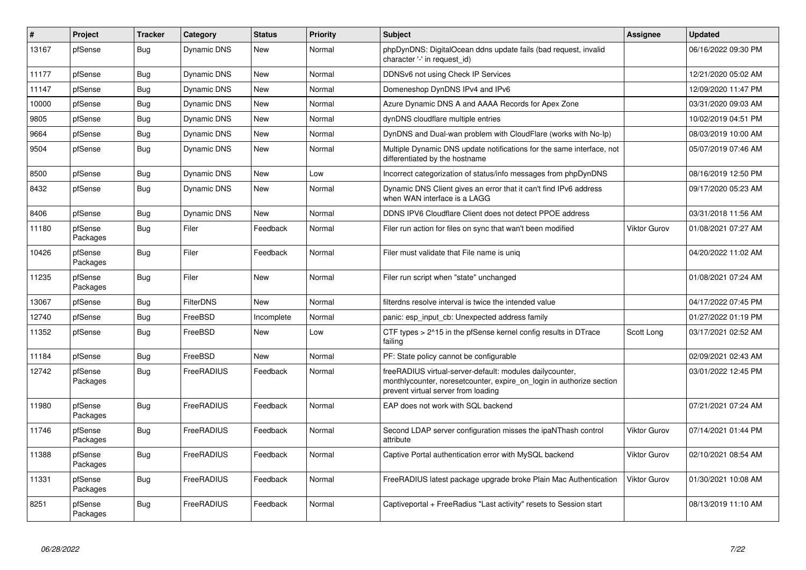| $\vert$ # | Project             | <b>Tracker</b> | Category           | <b>Status</b> | Priority | <b>Subject</b>                                                                                                                                                          | <b>Assignee</b>     | <b>Updated</b>      |
|-----------|---------------------|----------------|--------------------|---------------|----------|-------------------------------------------------------------------------------------------------------------------------------------------------------------------------|---------------------|---------------------|
| 13167     | pfSense             | Bug            | Dynamic DNS        | <b>New</b>    | Normal   | phpDynDNS: DigitalOcean ddns update fails (bad request, invalid<br>character '-' in request id)                                                                         |                     | 06/16/2022 09:30 PM |
| 11177     | pfSense             | Bug            | <b>Dynamic DNS</b> | New           | Normal   | DDNSv6 not using Check IP Services                                                                                                                                      |                     | 12/21/2020 05:02 AM |
| 11147     | pfSense             | Bug            | <b>Dynamic DNS</b> | <b>New</b>    | Normal   | Domeneshop DynDNS IPv4 and IPv6                                                                                                                                         |                     | 12/09/2020 11:47 PM |
| 10000     | pfSense             | Bug            | Dynamic DNS        | New           | Normal   | Azure Dynamic DNS A and AAAA Records for Apex Zone                                                                                                                      |                     | 03/31/2020 09:03 AM |
| 9805      | pfSense             | Bug            | <b>Dynamic DNS</b> | New           | Normal   | dynDNS cloudflare multiple entries                                                                                                                                      |                     | 10/02/2019 04:51 PM |
| 9664      | pfSense             | <b>Bug</b>     | <b>Dynamic DNS</b> | New           | Normal   | DynDNS and Dual-wan problem with CloudFlare (works with No-Ip)                                                                                                          |                     | 08/03/2019 10:00 AM |
| 9504      | pfSense             | <b>Bug</b>     | Dynamic DNS        | <b>New</b>    | Normal   | Multiple Dynamic DNS update notifications for the same interface, not<br>differentiated by the hostname                                                                 |                     | 05/07/2019 07:46 AM |
| 8500      | pfSense             | Bug            | Dynamic DNS        | <b>New</b>    | Low      | Incorrect categorization of status/info messages from phpDynDNS                                                                                                         |                     | 08/16/2019 12:50 PM |
| 8432      | pfSense             | Bug            | Dynamic DNS        | <b>New</b>    | Normal   | Dynamic DNS Client gives an error that it can't find IPv6 address<br>when WAN interface is a LAGG                                                                       |                     | 09/17/2020 05:23 AM |
| 8406      | pfSense             | <b>Bug</b>     | Dynamic DNS        | <b>New</b>    | Normal   | DDNS IPV6 Cloudflare Client does not detect PPOE address                                                                                                                |                     | 03/31/2018 11:56 AM |
| 11180     | pfSense<br>Packages | Bug            | Filer              | Feedback      | Normal   | Filer run action for files on sync that wan't been modified                                                                                                             | <b>Viktor Gurov</b> | 01/08/2021 07:27 AM |
| 10426     | pfSense<br>Packages | Bug            | Filer              | Feedback      | Normal   | Filer must validate that File name is unig                                                                                                                              |                     | 04/20/2022 11:02 AM |
| 11235     | pfSense<br>Packages | Bug            | Filer              | <b>New</b>    | Normal   | Filer run script when "state" unchanged                                                                                                                                 |                     | 01/08/2021 07:24 AM |
| 13067     | pfSense             | Bug            | <b>FilterDNS</b>   | New           | Normal   | filterdns resolve interval is twice the intended value                                                                                                                  |                     | 04/17/2022 07:45 PM |
| 12740     | pfSense             | Bug            | FreeBSD            | Incomplete    | Normal   | panic: esp input cb: Unexpected address family                                                                                                                          |                     | 01/27/2022 01:19 PM |
| 11352     | pfSense             | <b>Bug</b>     | FreeBSD            | <b>New</b>    | Low      | CTF types > 2^15 in the pfSense kernel config results in DTrace<br>failing                                                                                              | Scott Long          | 03/17/2021 02:52 AM |
| 11184     | pfSense             | Bug            | FreeBSD            | <b>New</b>    | Normal   | PF: State policy cannot be configurable                                                                                                                                 |                     | 02/09/2021 02:43 AM |
| 12742     | pfSense<br>Packages | Bug            | FreeRADIUS         | Feedback      | Normal   | freeRADIUS virtual-server-default: modules dailycounter,<br>monthlycounter, noresetcounter, expire_on_login in authorize section<br>prevent virtual server from loading |                     | 03/01/2022 12:45 PM |
| 11980     | pfSense<br>Packages | <b>Bug</b>     | FreeRADIUS         | Feedback      | Normal   | EAP does not work with SQL backend                                                                                                                                      |                     | 07/21/2021 07:24 AM |
| 11746     | pfSense<br>Packages | <b>Bug</b>     | FreeRADIUS         | Feedback      | Normal   | Second LDAP server configuration misses the ipaNThash control<br>attribute                                                                                              | Viktor Gurov        | 07/14/2021 01:44 PM |
| 11388     | pfSense<br>Packages | <b>Bug</b>     | FreeRADIUS         | Feedback      | Normal   | Captive Portal authentication error with MySQL backend                                                                                                                  | <b>Viktor Gurov</b> | 02/10/2021 08:54 AM |
| 11331     | pfSense<br>Packages | <b>Bug</b>     | FreeRADIUS         | Feedback      | Normal   | FreeRADIUS latest package upgrade broke Plain Mac Authentication                                                                                                        | <b>Viktor Gurov</b> | 01/30/2021 10:08 AM |
| 8251      | pfSense<br>Packages | <b>Bug</b>     | FreeRADIUS         | Feedback      | Normal   | Captiveportal + FreeRadius "Last activity" resets to Session start                                                                                                      |                     | 08/13/2019 11:10 AM |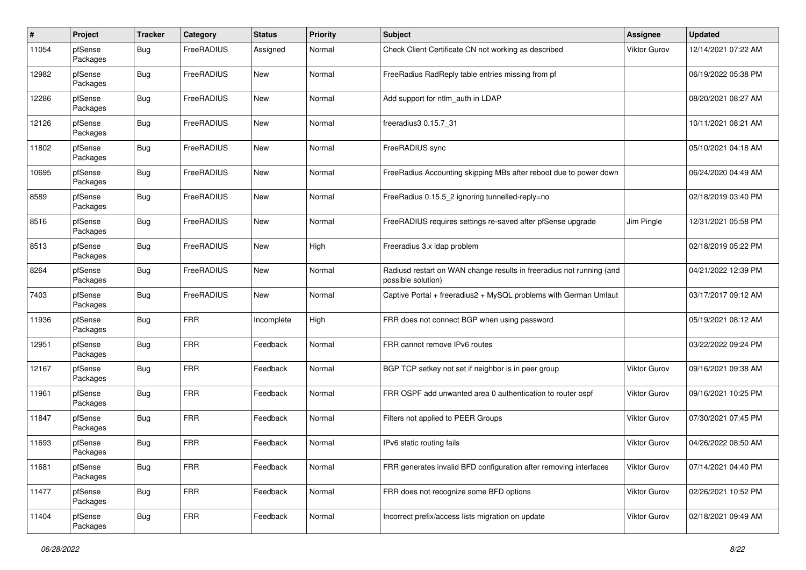| #     | Project             | <b>Tracker</b> | Category   | <b>Status</b> | <b>Priority</b> | <b>Subject</b>                                                                             | <b>Assignee</b>     | <b>Updated</b>      |
|-------|---------------------|----------------|------------|---------------|-----------------|--------------------------------------------------------------------------------------------|---------------------|---------------------|
| 11054 | pfSense<br>Packages | <b>Bug</b>     | FreeRADIUS | Assigned      | Normal          | Check Client Certificate CN not working as described                                       | Viktor Gurov        | 12/14/2021 07:22 AM |
| 12982 | pfSense<br>Packages | Bug            | FreeRADIUS | <b>New</b>    | Normal          | FreeRadius RadReply table entries missing from pf                                          |                     | 06/19/2022 05:38 PM |
| 12286 | pfSense<br>Packages | Bug            | FreeRADIUS | New           | Normal          | Add support for ntlm_auth in LDAP                                                          |                     | 08/20/2021 08:27 AM |
| 12126 | pfSense<br>Packages | Bug            | FreeRADIUS | New           | Normal          | freeradius3 0.15.7 31                                                                      |                     | 10/11/2021 08:21 AM |
| 11802 | pfSense<br>Packages | Bug            | FreeRADIUS | New           | Normal          | FreeRADIUS sync                                                                            |                     | 05/10/2021 04:18 AM |
| 10695 | pfSense<br>Packages | Bug            | FreeRADIUS | New           | Normal          | FreeRadius Accounting skipping MBs after reboot due to power down                          |                     | 06/24/2020 04:49 AM |
| 8589  | pfSense<br>Packages | Bug            | FreeRADIUS | New           | Normal          | FreeRadius 0.15.5_2 ignoring tunnelled-reply=no                                            |                     | 02/18/2019 03:40 PM |
| 8516  | pfSense<br>Packages | Bug            | FreeRADIUS | New           | Normal          | FreeRADIUS requires settings re-saved after pfSense upgrade                                | Jim Pingle          | 12/31/2021 05:58 PM |
| 8513  | pfSense<br>Packages | Bug            | FreeRADIUS | New           | High            | Freeradius 3.x Idap problem                                                                |                     | 02/18/2019 05:22 PM |
| 8264  | pfSense<br>Packages | Bug            | FreeRADIUS | New           | Normal          | Radiusd restart on WAN change results in freeradius not running (and<br>possible solution) |                     | 04/21/2022 12:39 PM |
| 7403  | pfSense<br>Packages | Bug            | FreeRADIUS | New           | Normal          | Captive Portal + freeradius2 + MySQL problems with German Umlaut                           |                     | 03/17/2017 09:12 AM |
| 11936 | pfSense<br>Packages | Bug            | <b>FRR</b> | Incomplete    | High            | FRR does not connect BGP when using password                                               |                     | 05/19/2021 08:12 AM |
| 12951 | pfSense<br>Packages | Bug            | <b>FRR</b> | Feedback      | Normal          | FRR cannot remove IPv6 routes                                                              |                     | 03/22/2022 09:24 PM |
| 12167 | pfSense<br>Packages | <b>Bug</b>     | <b>FRR</b> | Feedback      | Normal          | BGP TCP setkey not set if neighbor is in peer group                                        | Viktor Gurov        | 09/16/2021 09:38 AM |
| 11961 | pfSense<br>Packages | Bug            | <b>FRR</b> | Feedback      | Normal          | FRR OSPF add unwanted area 0 authentication to router ospf                                 | Viktor Gurov        | 09/16/2021 10:25 PM |
| 11847 | pfSense<br>Packages | Bug            | <b>FRR</b> | Feedback      | Normal          | Filters not applied to PEER Groups                                                         | Viktor Gurov        | 07/30/2021 07:45 PM |
| 11693 | pfSense<br>Packages | <b>Bug</b>     | <b>FRR</b> | Feedback      | Normal          | IPv6 static routing fails                                                                  | Viktor Gurov        | 04/26/2022 08:50 AM |
| 11681 | pfSense<br>Packages | <b>Bug</b>     | <b>FRR</b> | Feedback      | Normal          | FRR generates invalid BFD configuration after removing interfaces                          | <b>Viktor Gurov</b> | 07/14/2021 04:40 PM |
| 11477 | pfSense<br>Packages | Bug            | <b>FRR</b> | Feedback      | Normal          | FRR does not recognize some BFD options                                                    | Viktor Gurov        | 02/26/2021 10:52 PM |
| 11404 | pfSense<br>Packages | <b>Bug</b>     | <b>FRR</b> | Feedback      | Normal          | Incorrect prefix/access lists migration on update                                          | Viktor Gurov        | 02/18/2021 09:49 AM |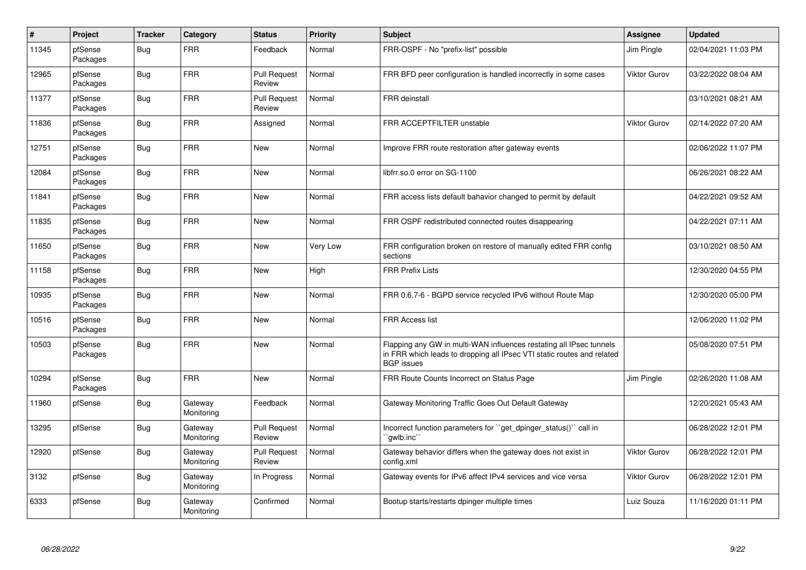| $\vert$ # | Project             | <b>Tracker</b> | Category              | <b>Status</b>                 | <b>Priority</b> | <b>Subject</b>                                                                                                                                                     | <b>Assignee</b>     | <b>Updated</b>      |
|-----------|---------------------|----------------|-----------------------|-------------------------------|-----------------|--------------------------------------------------------------------------------------------------------------------------------------------------------------------|---------------------|---------------------|
| 11345     | pfSense<br>Packages | Bug            | <b>FRR</b>            | Feedback                      | Normal          | FRR-OSPF - No "prefix-list" possible                                                                                                                               | Jim Pingle          | 02/04/2021 11:03 PM |
| 12965     | pfSense<br>Packages | Bug            | <b>FRR</b>            | <b>Pull Request</b><br>Review | Normal          | FRR BFD peer configuration is handled incorrectly in some cases                                                                                                    | Viktor Gurov        | 03/22/2022 08:04 AM |
| 11377     | pfSense<br>Packages | <b>Bug</b>     | <b>FRR</b>            | <b>Pull Request</b><br>Review | Normal          | <b>FRR</b> deinstall                                                                                                                                               |                     | 03/10/2021 08:21 AM |
| 11836     | pfSense<br>Packages | Bug            | <b>FRR</b>            | Assigned                      | Normal          | FRR ACCEPTFILTER unstable                                                                                                                                          | Viktor Gurov        | 02/14/2022 07:20 AM |
| 12751     | pfSense<br>Packages | Bug            | <b>FRR</b>            | New                           | Normal          | Improve FRR route restoration after gateway events                                                                                                                 |                     | 02/06/2022 11:07 PM |
| 12084     | pfSense<br>Packages | Bug            | <b>FRR</b>            | New                           | Normal          | libfrr.so.0 error on SG-1100                                                                                                                                       |                     | 06/26/2021 08:22 AM |
| 11841     | pfSense<br>Packages | <b>Bug</b>     | <b>FRR</b>            | <b>New</b>                    | Normal          | FRR access lists default bahavior changed to permit by default                                                                                                     |                     | 04/22/2021 09:52 AM |
| 11835     | pfSense<br>Packages | Bug            | <b>FRR</b>            | New                           | Normal          | FRR OSPF redistributed connected routes disappearing                                                                                                               |                     | 04/22/2021 07:11 AM |
| 11650     | pfSense<br>Packages | Bug            | <b>FRR</b>            | <b>New</b>                    | Very Low        | FRR configuration broken on restore of manually edited FRR config<br>sections                                                                                      |                     | 03/10/2021 08:50 AM |
| 11158     | pfSense<br>Packages | Bug            | <b>FRR</b>            | New                           | High            | <b>FRR Prefix Lists</b>                                                                                                                                            |                     | 12/30/2020 04:55 PM |
| 10935     | pfSense<br>Packages | Bug            | <b>FRR</b>            | <b>New</b>                    | Normal          | FRR 0.6.7-6 - BGPD service recycled IPv6 without Route Map                                                                                                         |                     | 12/30/2020 05:00 PM |
| 10516     | pfSense<br>Packages | Bug            | <b>FRR</b>            | <b>New</b>                    | Normal          | <b>FRR Access list</b>                                                                                                                                             |                     | 12/06/2020 11:02 PM |
| 10503     | pfSense<br>Packages | Bug            | <b>FRR</b>            | <b>New</b>                    | Normal          | Flapping any GW in multi-WAN influences restating all IPsec tunnels<br>in FRR which leads to dropping all IPsec VTI static routes and related<br><b>BGP</b> issues |                     | 05/08/2020 07:51 PM |
| 10294     | pfSense<br>Packages | Bug            | FRR                   | New                           | Normal          | FRR Route Counts Incorrect on Status Page                                                                                                                          | Jim Pingle          | 02/26/2020 11:08 AM |
| 11960     | pfSense             | Bug            | Gateway<br>Monitoring | Feedback                      | Normal          | Gateway Monitoring Traffic Goes Out Default Gateway                                                                                                                |                     | 12/20/2021 05:43 AM |
| 13295     | pfSense             | Bug            | Gateway<br>Monitoring | <b>Pull Request</b><br>Review | Normal          | Incorrect function parameters for "get dpinger status()" call in<br>`qwlb.inc                                                                                      |                     | 06/28/2022 12:01 PM |
| 12920     | pfSense             | Bug            | Gateway<br>Monitoring | <b>Pull Request</b><br>Review | Normal          | Gateway behavior differs when the gateway does not exist in<br>config.xml                                                                                          | <b>Viktor Gurov</b> | 06/28/2022 12:01 PM |
| 3132      | pfSense             | <b>Bug</b>     | Gateway<br>Monitoring | In Progress                   | Normal          | Gateway events for IPv6 affect IPv4 services and vice versa                                                                                                        | Viktor Gurov        | 06/28/2022 12:01 PM |
| 6333      | pfSense             | <b>Bug</b>     | Gateway<br>Monitoring | Confirmed                     | Normal          | Bootup starts/restarts dpinger multiple times                                                                                                                      | Luiz Souza          | 11/16/2020 01:11 PM |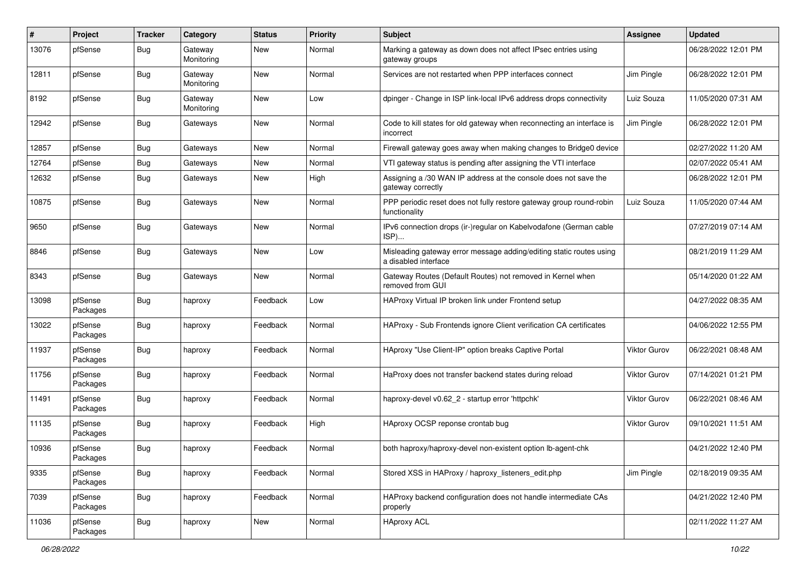| #     | Project             | <b>Tracker</b> | Category              | <b>Status</b> | Priority | Subject                                                                                     | <b>Assignee</b>     | <b>Updated</b>      |
|-------|---------------------|----------------|-----------------------|---------------|----------|---------------------------------------------------------------------------------------------|---------------------|---------------------|
| 13076 | pfSense             | Bug            | Gateway<br>Monitoring | New           | Normal   | Marking a gateway as down does not affect IPsec entries using<br>gateway groups             |                     | 06/28/2022 12:01 PM |
| 12811 | pfSense             | <b>Bug</b>     | Gateway<br>Monitoring | New           | Normal   | Services are not restarted when PPP interfaces connect                                      | Jim Pingle          | 06/28/2022 12:01 PM |
| 8192  | pfSense             | Bug            | Gateway<br>Monitoring | <b>New</b>    | Low      | dpinger - Change in ISP link-local IPv6 address drops connectivity                          | Luiz Souza          | 11/05/2020 07:31 AM |
| 12942 | pfSense             | Bug            | Gateways              | New           | Normal   | Code to kill states for old gateway when reconnecting an interface is<br>incorrect          | Jim Pingle          | 06/28/2022 12:01 PM |
| 12857 | pfSense             | Bug            | Gateways              | New           | Normal   | Firewall gateway goes away when making changes to Bridge0 device                            |                     | 02/27/2022 11:20 AM |
| 12764 | pfSense             | Bug            | Gateways              | New           | Normal   | VTI gateway status is pending after assigning the VTI interface                             |                     | 02/07/2022 05:41 AM |
| 12632 | pfSense             | Bug            | Gateways              | New           | High     | Assigning a /30 WAN IP address at the console does not save the<br>gateway correctly        |                     | 06/28/2022 12:01 PM |
| 10875 | pfSense             | Bug            | Gateways              | <b>New</b>    | Normal   | PPP periodic reset does not fully restore gateway group round-robin<br>functionality        | Luiz Souza          | 11/05/2020 07:44 AM |
| 9650  | pfSense             | Bug            | Gateways              | New           | Normal   | IPv6 connection drops (ir-)regular on Kabelvodafone (German cable<br>ISP)                   |                     | 07/27/2019 07:14 AM |
| 8846  | pfSense             | Bug            | Gateways              | New           | Low      | Misleading gateway error message adding/editing static routes using<br>a disabled interface |                     | 08/21/2019 11:29 AM |
| 8343  | pfSense             | <b>Bug</b>     | Gateways              | <b>New</b>    | Normal   | Gateway Routes (Default Routes) not removed in Kernel when<br>removed from GUI              |                     | 05/14/2020 01:22 AM |
| 13098 | pfSense<br>Packages | Bug            | haproxy               | Feedback      | Low      | HAProxy Virtual IP broken link under Frontend setup                                         |                     | 04/27/2022 08:35 AM |
| 13022 | pfSense<br>Packages | Bug            | haproxy               | Feedback      | Normal   | HAProxy - Sub Frontends ignore Client verification CA certificates                          |                     | 04/06/2022 12:55 PM |
| 11937 | pfSense<br>Packages | <b>Bug</b>     | haproxy               | Feedback      | Normal   | HAproxy "Use Client-IP" option breaks Captive Portal                                        | Viktor Gurov        | 06/22/2021 08:48 AM |
| 11756 | pfSense<br>Packages | <b>Bug</b>     | haproxy               | Feedback      | Normal   | HaProxy does not transfer backend states during reload                                      | Viktor Gurov        | 07/14/2021 01:21 PM |
| 11491 | pfSense<br>Packages | Bug            | haproxy               | Feedback      | Normal   | haproxy-devel v0.62_2 - startup error 'httpchk'                                             | <b>Viktor Gurov</b> | 06/22/2021 08:46 AM |
| 11135 | pfSense<br>Packages | Bug            | haproxy               | Feedback      | High     | HAproxy OCSP reponse crontab bug                                                            | Viktor Gurov        | 09/10/2021 11:51 AM |
| 10936 | pfSense<br>Packages | Bug            | haproxy               | Feedback      | Normal   | both haproxy/haproxy-devel non-existent option lb-agent-chk                                 |                     | 04/21/2022 12:40 PM |
| 9335  | pfSense<br>Packages | Bug            | haproxy               | Feedback      | Normal   | Stored XSS in HAProxy / haproxy_listeners_edit.php                                          | Jim Pingle          | 02/18/2019 09:35 AM |
| 7039  | pfSense<br>Packages | <b>Bug</b>     | haproxy               | Feedback      | Normal   | HAProxy backend configuration does not handle intermediate CAs<br>properly                  |                     | 04/21/2022 12:40 PM |
| 11036 | pfSense<br>Packages | <b>Bug</b>     | haproxy               | New           | Normal   | <b>HAproxy ACL</b>                                                                          |                     | 02/11/2022 11:27 AM |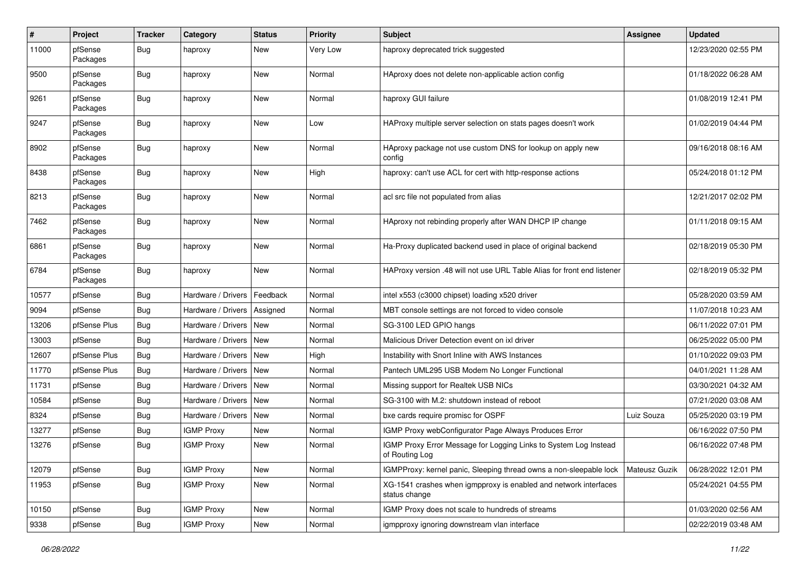| $\pmb{\#}$ | Project             | <b>Tracker</b> | Category           | <b>Status</b> | <b>Priority</b> | <b>Subject</b>                                                                     | <b>Assignee</b> | <b>Updated</b>      |
|------------|---------------------|----------------|--------------------|---------------|-----------------|------------------------------------------------------------------------------------|-----------------|---------------------|
| 11000      | pfSense<br>Packages | Bug            | haproxy            | New           | Very Low        | haproxy deprecated trick suggested                                                 |                 | 12/23/2020 02:55 PM |
| 9500       | pfSense<br>Packages | Bug            | haproxy            | New           | Normal          | HAproxy does not delete non-applicable action config                               |                 | 01/18/2022 06:28 AM |
| 9261       | pfSense<br>Packages | Bug            | haproxy            | New           | Normal          | haproxy GUI failure                                                                |                 | 01/08/2019 12:41 PM |
| 9247       | pfSense<br>Packages | Bug            | haproxy            | New           | Low             | HAProxy multiple server selection on stats pages doesn't work                      |                 | 01/02/2019 04:44 PM |
| 8902       | pfSense<br>Packages | Bug            | haproxy            | New           | Normal          | HAproxy package not use custom DNS for lookup on apply new<br>config               |                 | 09/16/2018 08:16 AM |
| 8438       | pfSense<br>Packages | Bug            | haproxy            | New           | High            | haproxy: can't use ACL for cert with http-response actions                         |                 | 05/24/2018 01:12 PM |
| 8213       | pfSense<br>Packages | Bug            | haproxy            | New           | Normal          | acl src file not populated from alias                                              |                 | 12/21/2017 02:02 PM |
| 7462       | pfSense<br>Packages | Bug            | haproxy            | New           | Normal          | HAproxy not rebinding properly after WAN DHCP IP change                            |                 | 01/11/2018 09:15 AM |
| 6861       | pfSense<br>Packages | Bug            | haproxy            | New           | Normal          | Ha-Proxy duplicated backend used in place of original backend                      |                 | 02/18/2019 05:30 PM |
| 6784       | pfSense<br>Packages | Bug            | haproxy            | <b>New</b>    | Normal          | HAProxy version .48 will not use URL Table Alias for front end listener            |                 | 02/18/2019 05:32 PM |
| 10577      | pfSense             | Bug            | Hardware / Drivers | Feedback      | Normal          | intel x553 (c3000 chipset) loading x520 driver                                     |                 | 05/28/2020 03:59 AM |
| 9094       | pfSense             | Bug            | Hardware / Drivers | Assigned      | Normal          | MBT console settings are not forced to video console                               |                 | 11/07/2018 10:23 AM |
| 13206      | pfSense Plus        | Bug            | Hardware / Drivers | <b>New</b>    | Normal          | SG-3100 LED GPIO hangs                                                             |                 | 06/11/2022 07:01 PM |
| 13003      | pfSense             | Bug            | Hardware / Drivers | New           | Normal          | Malicious Driver Detection event on ixl driver                                     |                 | 06/25/2022 05:00 PM |
| 12607      | pfSense Plus        | Bug            | Hardware / Drivers | New           | High            | Instability with Snort Inline with AWS Instances                                   |                 | 01/10/2022 09:03 PM |
| 11770      | pfSense Plus        | Bug            | Hardware / Drivers | <b>New</b>    | Normal          | Pantech UML295 USB Modem No Longer Functional                                      |                 | 04/01/2021 11:28 AM |
| 11731      | pfSense             | Bug            | Hardware / Drivers | New           | Normal          | Missing support for Realtek USB NICs                                               |                 | 03/30/2021 04:32 AM |
| 10584      | pfSense             | Bug            | Hardware / Drivers | New           | Normal          | SG-3100 with M.2: shutdown instead of reboot                                       |                 | 07/21/2020 03:08 AM |
| 8324       | pfSense             | <b>Bug</b>     | Hardware / Drivers | New           | Normal          | bxe cards require promisc for OSPF                                                 | Luiz Souza      | 05/25/2020 03:19 PM |
| 13277      | pfSense             | Bug            | <b>IGMP Proxy</b>  | New           | Normal          | IGMP Proxy webConfigurator Page Always Produces Error                              |                 | 06/16/2022 07:50 PM |
| 13276      | pfSense             | Bug            | <b>IGMP Proxy</b>  | New           | Normal          | IGMP Proxy Error Message for Logging Links to System Log Instead<br>of Routing Log |                 | 06/16/2022 07:48 PM |
| 12079      | pfSense             | Bug            | <b>IGMP Proxy</b>  | New           | Normal          | IGMPProxy: kernel panic, Sleeping thread owns a non-sleepable lock                 | Mateusz Guzik   | 06/28/2022 12:01 PM |
| 11953      | pfSense             | <b>Bug</b>     | <b>IGMP Proxy</b>  | New           | Normal          | XG-1541 crashes when igmpproxy is enabled and network interfaces<br>status change  |                 | 05/24/2021 04:55 PM |
| 10150      | pfSense             | Bug            | <b>IGMP Proxy</b>  | New           | Normal          | IGMP Proxy does not scale to hundreds of streams                                   |                 | 01/03/2020 02:56 AM |
| 9338       | pfSense             | <b>Bug</b>     | <b>IGMP Proxy</b>  | New           | Normal          | igmpproxy ignoring downstream vlan interface                                       |                 | 02/22/2019 03:48 AM |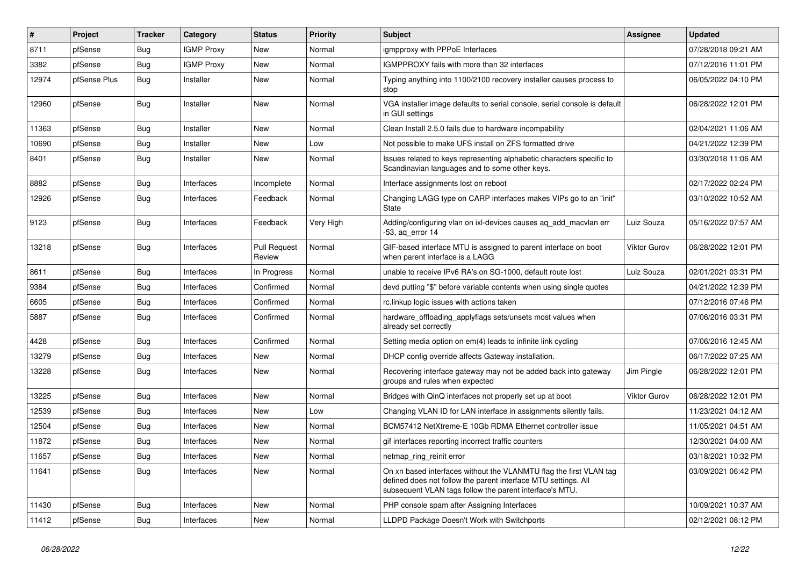| #     | Project      | <b>Tracker</b> | Category          | <b>Status</b>                 | <b>Priority</b> | <b>Subject</b>                                                                                                                                                                                  | <b>Assignee</b>     | <b>Updated</b>      |
|-------|--------------|----------------|-------------------|-------------------------------|-----------------|-------------------------------------------------------------------------------------------------------------------------------------------------------------------------------------------------|---------------------|---------------------|
| 8711  | pfSense      | Bug            | <b>IGMP Proxy</b> | New                           | Normal          | igmpproxy with PPPoE Interfaces                                                                                                                                                                 |                     | 07/28/2018 09:21 AM |
| 3382  | pfSense      | Bug            | <b>IGMP Proxy</b> | <b>New</b>                    | Normal          | IGMPPROXY fails with more than 32 interfaces                                                                                                                                                    |                     | 07/12/2016 11:01 PM |
| 12974 | pfSense Plus | Bug            | Installer         | <b>New</b>                    | Normal          | Typing anything into 1100/2100 recovery installer causes process to<br>stop                                                                                                                     |                     | 06/05/2022 04:10 PM |
| 12960 | pfSense      | Bug            | Installer         | <b>New</b>                    | Normal          | VGA installer image defaults to serial console, serial console is default<br>in GUI settings                                                                                                    |                     | 06/28/2022 12:01 PM |
| 11363 | pfSense      | <b>Bug</b>     | Installer         | <b>New</b>                    | Normal          | Clean Install 2.5.0 fails due to hardware incompability                                                                                                                                         |                     | 02/04/2021 11:06 AM |
| 10690 | pfSense      | Bug            | Installer         | New                           | Low             | Not possible to make UFS install on ZFS formatted drive                                                                                                                                         |                     | 04/21/2022 12:39 PM |
| 8401  | pfSense      | Bug            | Installer         | New                           | Normal          | Issues related to keys representing alphabetic characters specific to<br>Scandinavian languages and to some other keys.                                                                         |                     | 03/30/2018 11:06 AM |
| 8882  | pfSense      | Bug            | Interfaces        | Incomplete                    | Normal          | Interface assignments lost on reboot                                                                                                                                                            |                     | 02/17/2022 02:24 PM |
| 12926 | pfSense      | Bug            | Interfaces        | Feedback                      | Normal          | Changing LAGG type on CARP interfaces makes VIPs go to an "init"<br><b>State</b>                                                                                                                |                     | 03/10/2022 10:52 AM |
| 9123  | pfSense      | Bug            | Interfaces        | Feedback                      | Very High       | Adding/configuring vlan on ixl-devices causes ag add macvlan err<br>$-53$ , aq error 14                                                                                                         | Luiz Souza          | 05/16/2022 07:57 AM |
| 13218 | pfSense      | Bug            | Interfaces        | <b>Pull Request</b><br>Review | Normal          | GIF-based interface MTU is assigned to parent interface on boot<br>when parent interface is a LAGG                                                                                              | Viktor Gurov        | 06/28/2022 12:01 PM |
| 8611  | pfSense      | Bug            | Interfaces        | In Progress                   | Normal          | unable to receive IPv6 RA's on SG-1000, default route lost                                                                                                                                      | Luiz Souza          | 02/01/2021 03:31 PM |
| 9384  | pfSense      | Bug            | Interfaces        | Confirmed                     | Normal          | devd putting "\$" before variable contents when using single quotes                                                                                                                             |                     | 04/21/2022 12:39 PM |
| 6605  | pfSense      | Bug            | Interfaces        | Confirmed                     | Normal          | rc.linkup logic issues with actions taken                                                                                                                                                       |                     | 07/12/2016 07:46 PM |
| 5887  | pfSense      | Bug            | Interfaces        | Confirmed                     | Normal          | hardware_offloading_applyflags sets/unsets most values when<br>already set correctly                                                                                                            |                     | 07/06/2016 03:31 PM |
| 4428  | pfSense      | <b>Bug</b>     | Interfaces        | Confirmed                     | Normal          | Setting media option on em(4) leads to infinite link cycling                                                                                                                                    |                     | 07/06/2016 12:45 AM |
| 13279 | pfSense      | Bug            | Interfaces        | New                           | Normal          | DHCP config override affects Gateway installation.                                                                                                                                              |                     | 06/17/2022 07:25 AM |
| 13228 | pfSense      | Bug            | Interfaces        | New                           | Normal          | Recovering interface gateway may not be added back into gateway<br>groups and rules when expected                                                                                               | Jim Pingle          | 06/28/2022 12:01 PM |
| 13225 | pfSense      | Bug            | Interfaces        | New                           | Normal          | Bridges with QinQ interfaces not properly set up at boot                                                                                                                                        | <b>Viktor Gurov</b> | 06/28/2022 12:01 PM |
| 12539 | pfSense      | <b>Bug</b>     | Interfaces        | New                           | Low             | Changing VLAN ID for LAN interface in assignments silently fails.                                                                                                                               |                     | 11/23/2021 04:12 AM |
| 12504 | pfSense      | Bug            | Interfaces        | <b>New</b>                    | Normal          | BCM57412 NetXtreme-E 10Gb RDMA Ethernet controller issue                                                                                                                                        |                     | 11/05/2021 04:51 AM |
| 11872 | pfSense      | Bug            | Interfaces        | New                           | Normal          | gif interfaces reporting incorrect traffic counters                                                                                                                                             |                     | 12/30/2021 04:00 AM |
| 11657 | pfSense      | Bug            | Interfaces        | New                           | Normal          | netmap_ring_reinit error                                                                                                                                                                        |                     | 03/18/2021 10:32 PM |
| 11641 | pfSense      | Bug            | Interfaces        | New                           | Normal          | On xn based interfaces without the VLANMTU flag the first VLAN tag<br>defined does not follow the parent interface MTU settings. All<br>subsequent VLAN tags follow the parent interface's MTU. |                     | 03/09/2021 06:42 PM |
| 11430 | pfSense      | Bug            | Interfaces        | New                           | Normal          | PHP console spam after Assigning Interfaces                                                                                                                                                     |                     | 10/09/2021 10:37 AM |
| 11412 | pfSense      | <b>Bug</b>     | Interfaces        | New                           | Normal          | LLDPD Package Doesn't Work with Switchports                                                                                                                                                     |                     | 02/12/2021 08:12 PM |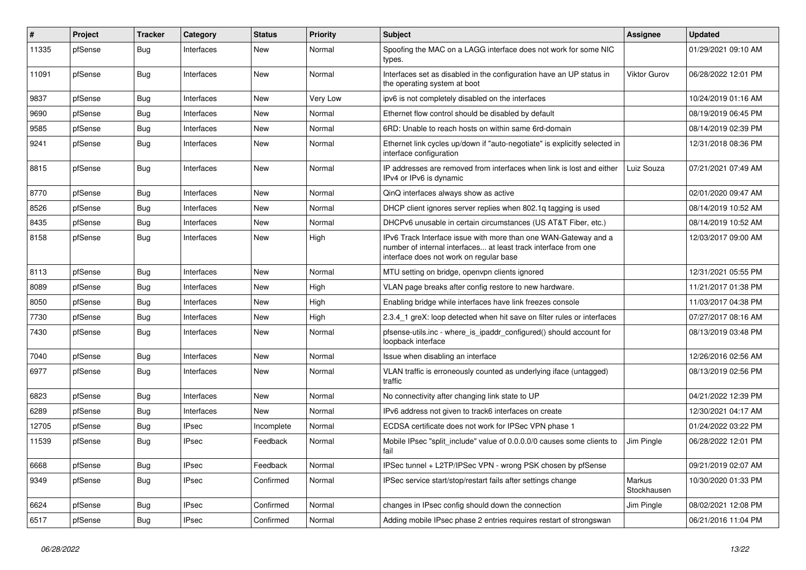| $\pmb{\#}$ | Project | <b>Tracker</b> | Category     | <b>Status</b> | <b>Priority</b> | <b>Subject</b>                                                                                                                                                                | <b>Assignee</b>       | <b>Updated</b>      |
|------------|---------|----------------|--------------|---------------|-----------------|-------------------------------------------------------------------------------------------------------------------------------------------------------------------------------|-----------------------|---------------------|
| 11335      | pfSense | Bug            | Interfaces   | New           | Normal          | Spoofing the MAC on a LAGG interface does not work for some NIC<br>types.                                                                                                     |                       | 01/29/2021 09:10 AM |
| 11091      | pfSense | Bug            | Interfaces   | New           | Normal          | Interfaces set as disabled in the configuration have an UP status in<br>the operating system at boot                                                                          | <b>Viktor Gurov</b>   | 06/28/2022 12:01 PM |
| 9837       | pfSense | Bug            | Interfaces   | New           | Very Low        | ipv6 is not completely disabled on the interfaces                                                                                                                             |                       | 10/24/2019 01:16 AM |
| 9690       | pfSense | Bug            | Interfaces   | New           | Normal          | Ethernet flow control should be disabled by default                                                                                                                           |                       | 08/19/2019 06:45 PM |
| 9585       | pfSense | Bug            | Interfaces   | New           | Normal          | 6RD: Unable to reach hosts on within same 6rd-domain                                                                                                                          |                       | 08/14/2019 02:39 PM |
| 9241       | pfSense | Bug            | Interfaces   | New           | Normal          | Ethernet link cycles up/down if "auto-negotiate" is explicitly selected in<br>interface configuration                                                                         |                       | 12/31/2018 08:36 PM |
| 8815       | pfSense | Bug            | Interfaces   | New           | Normal          | IP addresses are removed from interfaces when link is lost and either<br>IPv4 or IPv6 is dynamic                                                                              | Luiz Souza            | 07/21/2021 07:49 AM |
| 8770       | pfSense | Bug            | Interfaces   | New           | Normal          | QinQ interfaces always show as active                                                                                                                                         |                       | 02/01/2020 09:47 AM |
| 8526       | pfSense | Bug            | Interfaces   | New           | Normal          | DHCP client ignores server replies when 802.1q tagging is used                                                                                                                |                       | 08/14/2019 10:52 AM |
| 8435       | pfSense | Bug            | Interfaces   | New           | Normal          | DHCPv6 unusable in certain circumstances (US AT&T Fiber, etc.)                                                                                                                |                       | 08/14/2019 10:52 AM |
| 8158       | pfSense | Bug            | Interfaces   | New           | High            | IPv6 Track Interface issue with more than one WAN-Gateway and a<br>number of internal interfaces at least track interface from one<br>interface does not work on regular base |                       | 12/03/2017 09:00 AM |
| 8113       | pfSense | Bug            | Interfaces   | <b>New</b>    | Normal          | MTU setting on bridge, openvpn clients ignored                                                                                                                                |                       | 12/31/2021 05:55 PM |
| 8089       | pfSense | Bug            | Interfaces   | New           | High            | VLAN page breaks after config restore to new hardware.                                                                                                                        |                       | 11/21/2017 01:38 PM |
| 8050       | pfSense | Bug            | Interfaces   | New           | High            | Enabling bridge while interfaces have link freezes console                                                                                                                    |                       | 11/03/2017 04:38 PM |
| 7730       | pfSense | Bug            | Interfaces   | <b>New</b>    | High            | 2.3.4_1 greX: loop detected when hit save on filter rules or interfaces                                                                                                       |                       | 07/27/2017 08:16 AM |
| 7430       | pfSense | Bug            | Interfaces   | New           | Normal          | pfsense-utils.inc - where_is_ipaddr_configured() should account for<br>loopback interface                                                                                     |                       | 08/13/2019 03:48 PM |
| 7040       | pfSense | Bug            | Interfaces   | New           | Normal          | Issue when disabling an interface                                                                                                                                             |                       | 12/26/2016 02:56 AM |
| 6977       | pfSense | Bug            | Interfaces   | New           | Normal          | VLAN traffic is erroneously counted as underlying iface (untagged)<br>traffic                                                                                                 |                       | 08/13/2019 02:56 PM |
| 6823       | pfSense | Bug            | Interfaces   | New           | Normal          | No connectivity after changing link state to UP                                                                                                                               |                       | 04/21/2022 12:39 PM |
| 6289       | pfSense | Bug            | Interfaces   | New           | Normal          | IPv6 address not given to track6 interfaces on create                                                                                                                         |                       | 12/30/2021 04:17 AM |
| 12705      | pfSense | Bug            | <b>IPsec</b> | Incomplete    | Normal          | ECDSA certificate does not work for IPSec VPN phase 1                                                                                                                         |                       | 01/24/2022 03:22 PM |
| 11539      | pfSense | Bug            | IPsec        | Feedback      | Normal          | Mobile IPsec "split include" value of 0.0.0.0/0 causes some clients to<br>fail                                                                                                | Jim Pingle            | 06/28/2022 12:01 PM |
| 6668       | pfSense | Bug            | <b>IPsec</b> | Feedback      | Normal          | IPSec tunnel + L2TP/IPSec VPN - wrong PSK chosen by pfSense                                                                                                                   |                       | 09/21/2019 02:07 AM |
| 9349       | pfSense | <b>Bug</b>     | <b>IPsec</b> | Confirmed     | Normal          | IPSec service start/stop/restart fails after settings change                                                                                                                  | Markus<br>Stockhausen | 10/30/2020 01:33 PM |
| 6624       | pfSense | Bug            | <b>IPsec</b> | Confirmed     | Normal          | changes in IPsec config should down the connection                                                                                                                            | Jim Pingle            | 08/02/2021 12:08 PM |
| 6517       | pfSense | <b>Bug</b>     | <b>IPsec</b> | Confirmed     | Normal          | Adding mobile IPsec phase 2 entries requires restart of strongswan                                                                                                            |                       | 06/21/2016 11:04 PM |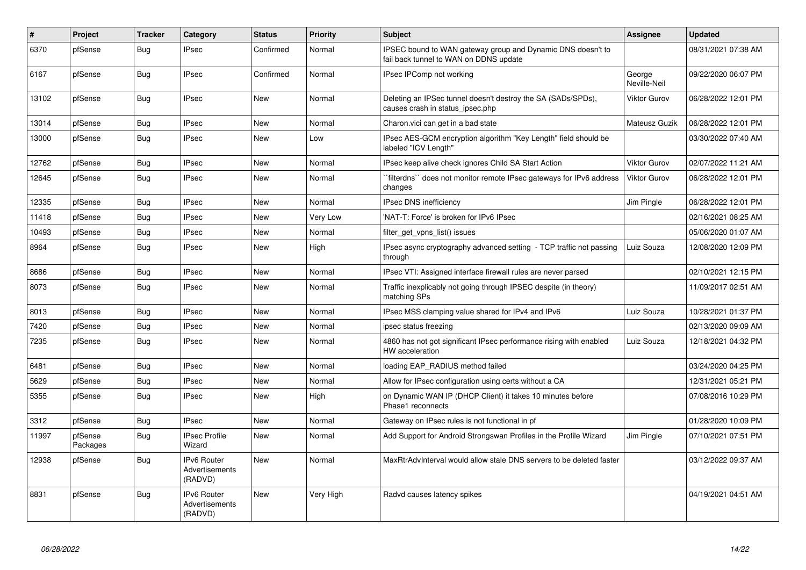| #     | Project             | <b>Tracker</b> | Category                                        | <b>Status</b> | <b>Priority</b> | <b>Subject</b>                                                                                        | <b>Assignee</b>        | <b>Updated</b>      |
|-------|---------------------|----------------|-------------------------------------------------|---------------|-----------------|-------------------------------------------------------------------------------------------------------|------------------------|---------------------|
| 6370  | pfSense             | Bug            | <b>IPsec</b>                                    | Confirmed     | Normal          | IPSEC bound to WAN gateway group and Dynamic DNS doesn't to<br>fail back tunnel to WAN on DDNS update |                        | 08/31/2021 07:38 AM |
| 6167  | pfSense             | <b>Bug</b>     | <b>IPsec</b>                                    | Confirmed     | Normal          | IPsec IPComp not working                                                                              | George<br>Neville-Neil | 09/22/2020 06:07 PM |
| 13102 | pfSense             | Bug            | <b>IPsec</b>                                    | <b>New</b>    | Normal          | Deleting an IPSec tunnel doesn't destroy the SA (SADs/SPDs),<br>causes crash in status_ipsec.php      | Viktor Gurov           | 06/28/2022 12:01 PM |
| 13014 | pfSense             | <b>Bug</b>     | <b>IPsec</b>                                    | <b>New</b>    | Normal          | Charon. vici can get in a bad state                                                                   | Mateusz Guzik          | 06/28/2022 12:01 PM |
| 13000 | pfSense             | Bug            | <b>IPsec</b>                                    | New           | Low             | IPsec AES-GCM encryption algorithm "Key Length" field should be<br>labeled "ICV Length"               |                        | 03/30/2022 07:40 AM |
| 12762 | pfSense             | Bug            | <b>IPsec</b>                                    | <b>New</b>    | Normal          | IPsec keep alive check ignores Child SA Start Action                                                  | Viktor Gurov           | 02/07/2022 11:21 AM |
| 12645 | pfSense             | <b>Bug</b>     | <b>IPsec</b>                                    | <b>New</b>    | Normal          | `filterdns`` does not monitor remote IPsec gateways for IPv6 address<br>changes                       | <b>Viktor Gurov</b>    | 06/28/2022 12:01 PM |
| 12335 | pfSense             | <b>Bug</b>     | <b>IPsec</b>                                    | <b>New</b>    | Normal          | <b>IPsec DNS inefficiency</b>                                                                         | Jim Pingle             | 06/28/2022 12:01 PM |
| 11418 | pfSense             | Bug            | <b>IPsec</b>                                    | New           | Very Low        | 'NAT-T: Force' is broken for IPv6 IPsec                                                               |                        | 02/16/2021 08:25 AM |
| 10493 | pfSense             | <b>Bug</b>     | <b>IPsec</b>                                    | New           | Normal          | filter get vpns list() issues                                                                         |                        | 05/06/2020 01:07 AM |
| 8964  | pfSense             | Bug            | <b>IPsec</b>                                    | New           | High            | IPsec async cryptography advanced setting - TCP traffic not passing<br>through                        | Luiz Souza             | 12/08/2020 12:09 PM |
| 8686  | pfSense             | Bug            | <b>IPsec</b>                                    | <b>New</b>    | Normal          | IPsec VTI: Assigned interface firewall rules are never parsed                                         |                        | 02/10/2021 12:15 PM |
| 8073  | pfSense             | Bug            | <b>IPsec</b>                                    | <b>New</b>    | Normal          | Traffic inexplicably not going through IPSEC despite (in theory)<br>matching SPs                      |                        | 11/09/2017 02:51 AM |
| 8013  | pfSense             | Bug            | <b>IPsec</b>                                    | New           | Normal          | IPsec MSS clamping value shared for IPv4 and IPv6                                                     | Luiz Souza             | 10/28/2021 01:37 PM |
| 7420  | pfSense             | Bug            | <b>IPsec</b>                                    | New           | Normal          | ipsec status freezing                                                                                 |                        | 02/13/2020 09:09 AM |
| 7235  | pfSense             | Bug            | <b>IPsec</b>                                    | <b>New</b>    | Normal          | 4860 has not got significant IPsec performance rising with enabled<br>HW acceleration                 | Luiz Souza             | 12/18/2021 04:32 PM |
| 6481  | pfSense             | <b>Bug</b>     | <b>IPsec</b>                                    | <b>New</b>    | Normal          | loading EAP RADIUS method failed                                                                      |                        | 03/24/2020 04:25 PM |
| 5629  | pfSense             | <b>Bug</b>     | <b>IPsec</b>                                    | <b>New</b>    | Normal          | Allow for IPsec configuration using certs without a CA                                                |                        | 12/31/2021 05:21 PM |
| 5355  | pfSense             | <b>Bug</b>     | <b>IPsec</b>                                    | New           | High            | on Dynamic WAN IP (DHCP Client) it takes 10 minutes before<br>Phase1 reconnects                       |                        | 07/08/2016 10:29 PM |
| 3312  | pfSense             | Bug            | <b>IPsec</b>                                    | New           | Normal          | Gateway on IPsec rules is not functional in pf                                                        |                        | 01/28/2020 10:09 PM |
| 11997 | pfSense<br>Packages | Bug            | <b>IPsec Profile</b><br>Wizard                  | <b>New</b>    | Normal          | Add Support for Android Strongswan Profiles in the Profile Wizard                                     | Jim Pingle             | 07/10/2021 07:51 PM |
| 12938 | pfSense             | Bug            | <b>IPv6 Router</b><br>Advertisements<br>(RADVD) | <b>New</b>    | Normal          | MaxRtrAdvInterval would allow stale DNS servers to be deleted faster                                  |                        | 03/12/2022 09:37 AM |
| 8831  | pfSense             | Bug            | <b>IPv6 Router</b><br>Advertisements<br>(RADVD) | <b>New</b>    | Very High       | Radvd causes latency spikes                                                                           |                        | 04/19/2021 04:51 AM |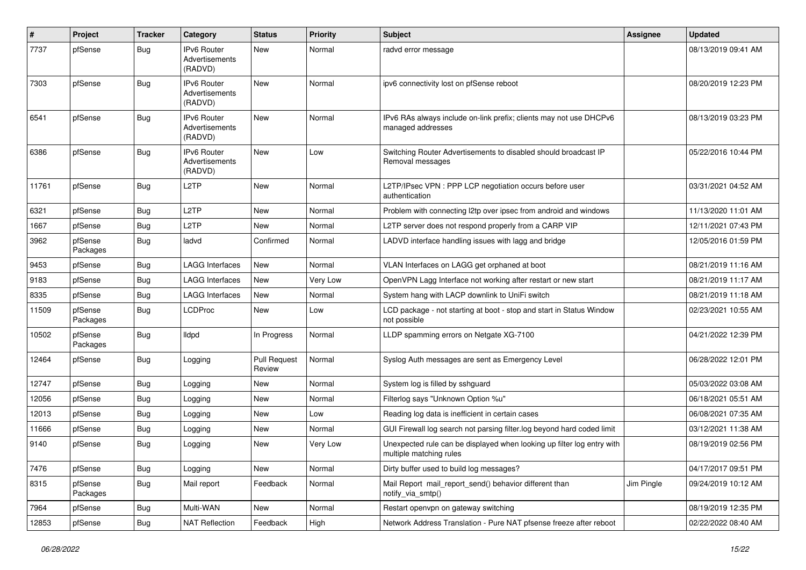| $\sharp$ | Project             | <b>Tracker</b> | Category                                        | <b>Status</b>                 | <b>Priority</b> | <b>Subject</b>                                                                                    | Assignee   | <b>Updated</b>      |
|----------|---------------------|----------------|-------------------------------------------------|-------------------------------|-----------------|---------------------------------------------------------------------------------------------------|------------|---------------------|
| 7737     | pfSense             | Bug            | IPv6 Router<br>Advertisements<br>(RADVD)        | <b>New</b>                    | Normal          | radvd error message                                                                               |            | 08/13/2019 09:41 AM |
| 7303     | pfSense             | Bug            | IPv6 Router<br>Advertisements<br>(RADVD)        | <b>New</b>                    | Normal          | ipv6 connectivity lost on pfSense reboot                                                          |            | 08/20/2019 12:23 PM |
| 6541     | pfSense             | Bug            | IPv6 Router<br>Advertisements<br>(RADVD)        | <b>New</b>                    | Normal          | IPv6 RAs always include on-link prefix; clients may not use DHCPv6<br>managed addresses           |            | 08/13/2019 03:23 PM |
| 6386     | pfSense             | Bug            | <b>IPv6 Router</b><br>Advertisements<br>(RADVD) | <b>New</b>                    | Low             | Switching Router Advertisements to disabled should broadcast IP<br>Removal messages               |            | 05/22/2016 10:44 PM |
| 11761    | pfSense             | Bug            | L2TP                                            | <b>New</b>                    | Normal          | L2TP/IPsec VPN : PPP LCP negotiation occurs before user<br>authentication                         |            | 03/31/2021 04:52 AM |
| 6321     | pfSense             | Bug            | L2TP                                            | New                           | Normal          | Problem with connecting I2tp over ipsec from android and windows                                  |            | 11/13/2020 11:01 AM |
| 1667     | pfSense             | <b>Bug</b>     | L2TP                                            | <b>New</b>                    | Normal          | L2TP server does not respond properly from a CARP VIP                                             |            | 12/11/2021 07:43 PM |
| 3962     | pfSense<br>Packages | <b>Bug</b>     | ladvd                                           | Confirmed                     | Normal          | LADVD interface handling issues with lagg and bridge                                              |            | 12/05/2016 01:59 PM |
| 9453     | pfSense             | <b>Bug</b>     | <b>LAGG Interfaces</b>                          | <b>New</b>                    | Normal          | VLAN Interfaces on LAGG get orphaned at boot                                                      |            | 08/21/2019 11:16 AM |
| 9183     | pfSense             | Bug            | <b>LAGG Interfaces</b>                          | New                           | Very Low        | OpenVPN Lagg Interface not working after restart or new start                                     |            | 08/21/2019 11:17 AM |
| 8335     | pfSense             | Bug            | <b>LAGG Interfaces</b>                          | <b>New</b>                    | Normal          | System hang with LACP downlink to UniFi switch                                                    |            | 08/21/2019 11:18 AM |
| 11509    | pfSense<br>Packages | <b>Bug</b>     | <b>LCDProc</b>                                  | <b>New</b>                    | Low             | LCD package - not starting at boot - stop and start in Status Window<br>not possible              |            | 02/23/2021 10:55 AM |
| 10502    | pfSense<br>Packages | Bug            | <b>Ildpd</b>                                    | In Progress                   | Normal          | LLDP spamming errors on Netgate XG-7100                                                           |            | 04/21/2022 12:39 PM |
| 12464    | pfSense             | <b>Bug</b>     | Logging                                         | <b>Pull Request</b><br>Review | Normal          | Syslog Auth messages are sent as Emergency Level                                                  |            | 06/28/2022 12:01 PM |
| 12747    | pfSense             | Bug            | Logging                                         | New                           | Normal          | System log is filled by sshguard                                                                  |            | 05/03/2022 03:08 AM |
| 12056    | pfSense             | Bug            | Logging                                         | New                           | Normal          | Filterlog says "Unknown Option %u"                                                                |            | 06/18/2021 05:51 AM |
| 12013    | pfSense             | Bug            | Logging                                         | New                           | Low             | Reading log data is inefficient in certain cases                                                  |            | 06/08/2021 07:35 AM |
| 11666    | pfSense             | Bug            | Logging                                         | <b>New</b>                    | Normal          | GUI Firewall log search not parsing filter.log beyond hard coded limit                            |            | 03/12/2021 11:38 AM |
| 9140     | pfSense             | Bug            | Logging                                         | <b>New</b>                    | Very Low        | Unexpected rule can be displayed when looking up filter log entry with<br>multiple matching rules |            | 08/19/2019 02:56 PM |
| 7476     | pfSense             | <b>Bug</b>     | Logging                                         | New                           | Normal          | Dirty buffer used to build log messages?                                                          |            | 04/17/2017 09:51 PM |
| 8315     | pfSense<br>Packages | Bug            | Mail report                                     | Feedback                      | Normal          | Mail Report mail_report_send() behavior different than<br>notify_via_smtp()                       | Jim Pingle | 09/24/2019 10:12 AM |
| 7964     | pfSense             | <b>Bug</b>     | Multi-WAN                                       | New                           | Normal          | Restart openvpn on gateway switching                                                              |            | 08/19/2019 12:35 PM |
| 12853    | pfSense             | Bug            | <b>NAT Reflection</b>                           | Feedback                      | High            | Network Address Translation - Pure NAT pfsense freeze after reboot                                |            | 02/22/2022 08:40 AM |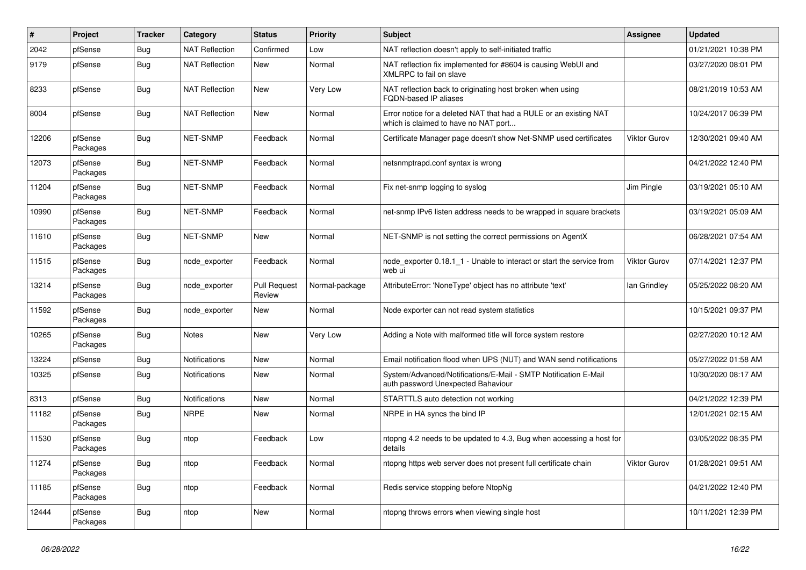| #     | Project             | <b>Tracker</b> | Category              | <b>Status</b>                 | <b>Priority</b> | Subject                                                                                                   | <b>Assignee</b>     | <b>Updated</b>      |
|-------|---------------------|----------------|-----------------------|-------------------------------|-----------------|-----------------------------------------------------------------------------------------------------------|---------------------|---------------------|
| 2042  | pfSense             | Bug            | <b>NAT Reflection</b> | Confirmed                     | Low             | NAT reflection doesn't apply to self-initiated traffic                                                    |                     | 01/21/2021 10:38 PM |
| 9179  | pfSense             | <b>Bug</b>     | <b>NAT Reflection</b> | <b>New</b>                    | Normal          | NAT reflection fix implemented for #8604 is causing WebUI and<br>XMLRPC to fail on slave                  |                     | 03/27/2020 08:01 PM |
| 8233  | pfSense             | Bug            | <b>NAT Reflection</b> | <b>New</b>                    | Very Low        | NAT reflection back to originating host broken when using<br>FQDN-based IP aliases                        |                     | 08/21/2019 10:53 AM |
| 8004  | pfSense             | Bug            | <b>NAT Reflection</b> | <b>New</b>                    | Normal          | Error notice for a deleted NAT that had a RULE or an existing NAT<br>which is claimed to have no NAT port |                     | 10/24/2017 06:39 PM |
| 12206 | pfSense<br>Packages | <b>Bug</b>     | <b>NET-SNMP</b>       | Feedback                      | Normal          | Certificate Manager page doesn't show Net-SNMP used certificates                                          | <b>Viktor Gurov</b> | 12/30/2021 09:40 AM |
| 12073 | pfSense<br>Packages | <b>Bug</b>     | NET-SNMP              | Feedback                      | Normal          | netsnmptrapd.conf syntax is wrong                                                                         |                     | 04/21/2022 12:40 PM |
| 11204 | pfSense<br>Packages | <b>Bug</b>     | NET-SNMP              | Feedback                      | Normal          | Fix net-snmp logging to syslog                                                                            | Jim Pingle          | 03/19/2021 05:10 AM |
| 10990 | pfSense<br>Packages | <b>Bug</b>     | NET-SNMP              | Feedback                      | Normal          | net-snmp IPv6 listen address needs to be wrapped in square brackets                                       |                     | 03/19/2021 05:09 AM |
| 11610 | pfSense<br>Packages | <b>Bug</b>     | NET-SNMP              | <b>New</b>                    | Normal          | NET-SNMP is not setting the correct permissions on AgentX                                                 |                     | 06/28/2021 07:54 AM |
| 11515 | pfSense<br>Packages | <b>Bug</b>     | node_exporter         | Feedback                      | Normal          | node exporter 0.18.1 1 - Unable to interact or start the service from<br>web ui                           | <b>Viktor Gurov</b> | 07/14/2021 12:37 PM |
| 13214 | pfSense<br>Packages | <b>Bug</b>     | node exporter         | <b>Pull Request</b><br>Review | Normal-package  | AttributeError: 'NoneType' object has no attribute 'text'                                                 | lan Grindley        | 05/25/2022 08:20 AM |
| 11592 | pfSense<br>Packages | <b>Bug</b>     | node exporter         | New                           | Normal          | Node exporter can not read system statistics                                                              |                     | 10/15/2021 09:37 PM |
| 10265 | pfSense<br>Packages | <b>Bug</b>     | <b>Notes</b>          | <b>New</b>                    | Very Low        | Adding a Note with malformed title will force system restore                                              |                     | 02/27/2020 10:12 AM |
| 13224 | pfSense             | <b>Bug</b>     | <b>Notifications</b>  | New                           | Normal          | Email notification flood when UPS (NUT) and WAN send notifications                                        |                     | 05/27/2022 01:58 AM |
| 10325 | pfSense             | Bug            | <b>Notifications</b>  | <b>New</b>                    | Normal          | System/Advanced/Notifications/E-Mail - SMTP Notification E-Mail<br>auth password Unexpected Bahaviour     |                     | 10/30/2020 08:17 AM |
| 8313  | pfSense             | Bug            | Notifications         | New                           | Normal          | STARTTLS auto detection not working                                                                       |                     | 04/21/2022 12:39 PM |
| 11182 | pfSense<br>Packages | <b>Bug</b>     | <b>NRPE</b>           | New                           | Normal          | NRPE in HA syncs the bind IP                                                                              |                     | 12/01/2021 02:15 AM |
| 11530 | pfSense<br>Packages | <b>Bug</b>     | ntop                  | Feedback                      | Low             | ntopng 4.2 needs to be updated to 4.3, Bug when accessing a host for<br>details                           |                     | 03/05/2022 08:35 PM |
| 11274 | pfSense<br>Packages | <b>Bug</b>     | ntop                  | Feedback                      | Normal          | ntopng https web server does not present full certificate chain                                           | Viktor Gurov        | 01/28/2021 09:51 AM |
| 11185 | pfSense<br>Packages | <b>Bug</b>     | ntop                  | Feedback                      | Normal          | Redis service stopping before NtopNg                                                                      |                     | 04/21/2022 12:40 PM |
| 12444 | pfSense<br>Packages | <b>Bug</b>     | ntop                  | New                           | Normal          | ntopng throws errors when viewing single host                                                             |                     | 10/11/2021 12:39 PM |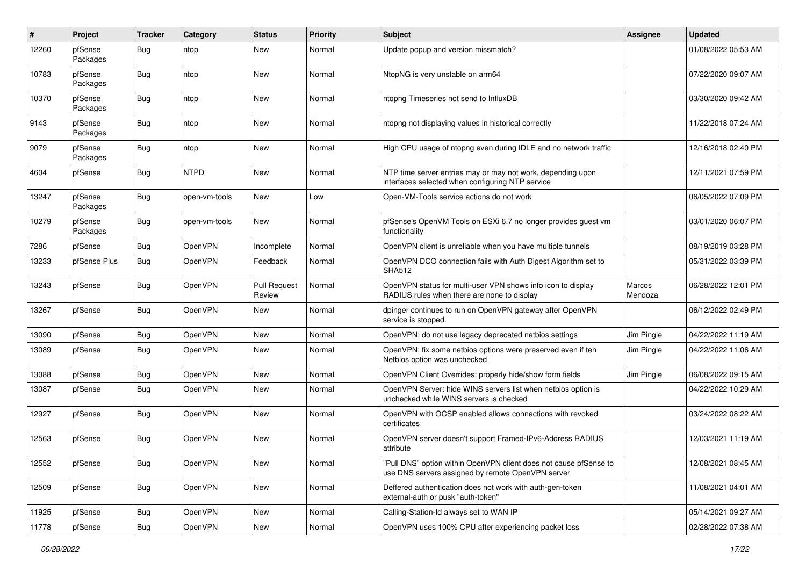| #     | Project             | <b>Tracker</b> | Category       | <b>Status</b>                 | <b>Priority</b> | Subject                                                                                                                | <b>Assignee</b>   | <b>Updated</b>      |
|-------|---------------------|----------------|----------------|-------------------------------|-----------------|------------------------------------------------------------------------------------------------------------------------|-------------------|---------------------|
| 12260 | pfSense<br>Packages | Bug            | ntop           | New                           | Normal          | Update popup and version missmatch?                                                                                    |                   | 01/08/2022 05:53 AM |
| 10783 | pfSense<br>Packages | Bug            | ntop           | New                           | Normal          | NtopNG is very unstable on arm64                                                                                       |                   | 07/22/2020 09:07 AM |
| 10370 | pfSense<br>Packages | Bug            | ntop           | <b>New</b>                    | Normal          | ntopng Timeseries not send to InfluxDB                                                                                 |                   | 03/30/2020 09:42 AM |
| 9143  | pfSense<br>Packages | Bug            | ntop           | <b>New</b>                    | Normal          | ntopng not displaying values in historical correctly                                                                   |                   | 11/22/2018 07:24 AM |
| 9079  | pfSense<br>Packages | <b>Bug</b>     | ntop           | <b>New</b>                    | Normal          | High CPU usage of ntopng even during IDLE and no network traffic                                                       |                   | 12/16/2018 02:40 PM |
| 4604  | pfSense             | <b>Bug</b>     | <b>NTPD</b>    | <b>New</b>                    | Normal          | NTP time server entries may or may not work, depending upon<br>interfaces selected when configuring NTP service        |                   | 12/11/2021 07:59 PM |
| 13247 | pfSense<br>Packages | Bug            | open-vm-tools  | <b>New</b>                    | Low             | Open-VM-Tools service actions do not work                                                                              |                   | 06/05/2022 07:09 PM |
| 10279 | pfSense<br>Packages | Bug            | open-vm-tools  | <b>New</b>                    | Normal          | pfSense's OpenVM Tools on ESXi 6.7 no longer provides guest vm<br>functionality                                        |                   | 03/01/2020 06:07 PM |
| 7286  | pfSense             | Bug            | <b>OpenVPN</b> | Incomplete                    | Normal          | OpenVPN client is unreliable when you have multiple tunnels                                                            |                   | 08/19/2019 03:28 PM |
| 13233 | pfSense Plus        | Bug            | <b>OpenVPN</b> | Feedback                      | Normal          | OpenVPN DCO connection fails with Auth Digest Algorithm set to<br><b>SHA512</b>                                        |                   | 05/31/2022 03:39 PM |
| 13243 | pfSense             | Bug            | OpenVPN        | <b>Pull Request</b><br>Review | Normal          | OpenVPN status for multi-user VPN shows info icon to display<br>RADIUS rules when there are none to display            | Marcos<br>Mendoza | 06/28/2022 12:01 PM |
| 13267 | pfSense             | <b>Bug</b>     | OpenVPN        | <b>New</b>                    | Normal          | dpinger continues to run on OpenVPN gateway after OpenVPN<br>service is stopped.                                       |                   | 06/12/2022 02:49 PM |
| 13090 | pfSense             | Bug            | OpenVPN        | New                           | Normal          | OpenVPN: do not use legacy deprecated netbios settings                                                                 | Jim Pingle        | 04/22/2022 11:19 AM |
| 13089 | pfSense             | <b>Bug</b>     | OpenVPN        | <b>New</b>                    | Normal          | OpenVPN: fix some netbios options were preserved even if teh<br>Netbios option was unchecked                           | Jim Pingle        | 04/22/2022 11:06 AM |
| 13088 | pfSense             | Bug            | OpenVPN        | <b>New</b>                    | Normal          | OpenVPN Client Overrides: properly hide/show form fields                                                               | Jim Pingle        | 06/08/2022 09:15 AM |
| 13087 | pfSense             | Bug            | <b>OpenVPN</b> | New                           | Normal          | OpenVPN Server: hide WINS servers list when netbios option is<br>unchecked while WINS servers is checked               |                   | 04/22/2022 10:29 AM |
| 12927 | pfSense             | <b>Bug</b>     | OpenVPN        | <b>New</b>                    | Normal          | OpenVPN with OCSP enabled allows connections with revoked<br>certificates                                              |                   | 03/24/2022 08:22 AM |
| 12563 | pfSense             | Bug            | OpenVPN        | <b>New</b>                    | Normal          | OpenVPN server doesn't support Framed-IPv6-Address RADIUS<br>attribute                                                 |                   | 12/03/2021 11:19 AM |
| 12552 | pfSense             | <b>Bug</b>     | OpenVPN        | New                           | Normal          | "Pull DNS" option within OpenVPN client does not cause pfSense to<br>use DNS servers assigned by remote OpenVPN server |                   | 12/08/2021 08:45 AM |
| 12509 | pfSense             | <b>Bug</b>     | <b>OpenVPN</b> | New                           | Normal          | Deffered authentication does not work with auth-gen-token<br>external-auth or pusk "auth-token"                        |                   | 11/08/2021 04:01 AM |
| 11925 | pfSense             | Bug            | <b>OpenVPN</b> | New                           | Normal          | Calling-Station-Id always set to WAN IP                                                                                |                   | 05/14/2021 09:27 AM |
| 11778 | pfSense             | <b>Bug</b>     | OpenVPN        | New                           | Normal          | OpenVPN uses 100% CPU after experiencing packet loss                                                                   |                   | 02/28/2022 07:38 AM |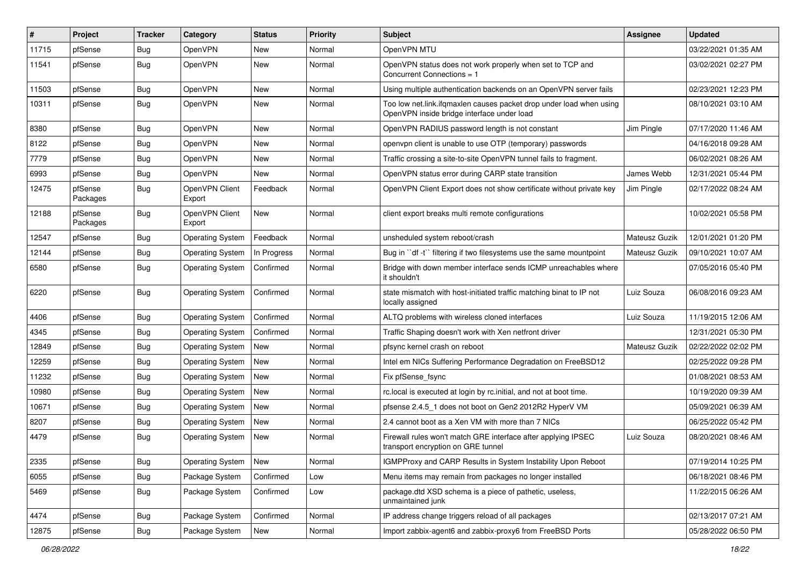| #     | Project             | <b>Tracker</b> | Category                 | <b>Status</b> | Priority | <b>Subject</b>                                                                                                    | <b>Assignee</b> | <b>Updated</b>      |
|-------|---------------------|----------------|--------------------------|---------------|----------|-------------------------------------------------------------------------------------------------------------------|-----------------|---------------------|
| 11715 | pfSense             | Bug            | <b>OpenVPN</b>           | New           | Normal   | OpenVPN MTU                                                                                                       |                 | 03/22/2021 01:35 AM |
| 11541 | pfSense             | Bug            | <b>OpenVPN</b>           | <b>New</b>    | Normal   | OpenVPN status does not work properly when set to TCP and<br>Concurrent Connections = 1                           |                 | 03/02/2021 02:27 PM |
| 11503 | pfSense             | Bug            | <b>OpenVPN</b>           | <b>New</b>    | Normal   | Using multiple authentication backends on an OpenVPN server fails                                                 |                 | 02/23/2021 12:23 PM |
| 10311 | pfSense             | <b>Bug</b>     | <b>OpenVPN</b>           | <b>New</b>    | Normal   | Too low net.link.ifqmaxlen causes packet drop under load when using<br>OpenVPN inside bridge interface under load |                 | 08/10/2021 03:10 AM |
| 8380  | pfSense             | Bug            | <b>OpenVPN</b>           | <b>New</b>    | Normal   | OpenVPN RADIUS password length is not constant                                                                    | Jim Pingle      | 07/17/2020 11:46 AM |
| 8122  | pfSense             | <b>Bug</b>     | <b>OpenVPN</b>           | New           | Normal   | openvpn client is unable to use OTP (temporary) passwords                                                         |                 | 04/16/2018 09:28 AM |
| 7779  | pfSense             | Bug            | <b>OpenVPN</b>           | New           | Normal   | Traffic crossing a site-to-site OpenVPN tunnel fails to fragment.                                                 |                 | 06/02/2021 08:26 AM |
| 6993  | pfSense             | Bug            | <b>OpenVPN</b>           | <b>New</b>    | Normal   | OpenVPN status error during CARP state transition                                                                 | James Webb      | 12/31/2021 05:44 PM |
| 12475 | pfSense<br>Packages | <b>Bug</b>     | OpenVPN Client<br>Export | Feedback      | Normal   | OpenVPN Client Export does not show certificate without private key                                               | Jim Pingle      | 02/17/2022 08:24 AM |
| 12188 | pfSense<br>Packages | <b>Bug</b>     | OpenVPN Client<br>Export | <b>New</b>    | Normal   | client export breaks multi remote configurations                                                                  |                 | 10/02/2021 05:58 PM |
| 12547 | pfSense             | Bug            | <b>Operating System</b>  | Feedback      | Normal   | unsheduled system reboot/crash                                                                                    | Mateusz Guzik   | 12/01/2021 01:20 PM |
| 12144 | pfSense             | <b>Bug</b>     | <b>Operating System</b>  | In Progress   | Normal   | Bug in "df -t" filtering if two filesystems use the same mountpoint                                               | Mateusz Guzik   | 09/10/2021 10:07 AM |
| 6580  | pfSense             | Bug            | <b>Operating System</b>  | Confirmed     | Normal   | Bridge with down member interface sends ICMP unreachables where<br>it shouldn't                                   |                 | 07/05/2016 05:40 PM |
| 6220  | pfSense             | <b>Bug</b>     | <b>Operating System</b>  | Confirmed     | Normal   | state mismatch with host-initiated traffic matching binat to IP not<br>locally assigned                           | Luiz Souza      | 06/08/2016 09:23 AM |
| 4406  | pfSense             | Bug            | Operating System         | Confirmed     | Normal   | ALTQ problems with wireless cloned interfaces                                                                     | Luiz Souza      | 11/19/2015 12:06 AM |
| 4345  | pfSense             | Bug            | <b>Operating System</b>  | Confirmed     | Normal   | Traffic Shaping doesn't work with Xen netfront driver                                                             |                 | 12/31/2021 05:30 PM |
| 12849 | pfSense             | Bug            | <b>Operating System</b>  | New           | Normal   | pfsync kernel crash on reboot                                                                                     | Mateusz Guzik   | 02/22/2022 02:02 PM |
| 12259 | pfSense             | Bug            | <b>Operating System</b>  | New           | Normal   | Intel em NICs Suffering Performance Degradation on FreeBSD12                                                      |                 | 02/25/2022 09:28 PM |
| 11232 | pfSense             | Bug            | <b>Operating System</b>  | New           | Normal   | Fix pfSense fsync                                                                                                 |                 | 01/08/2021 08:53 AM |
| 10980 | pfSense             | Bug            | <b>Operating System</b>  | <b>New</b>    | Normal   | rc.local is executed at login by rc.initial, and not at boot time.                                                |                 | 10/19/2020 09:39 AM |
| 10671 | pfSense             | Bug            | <b>Operating System</b>  | New           | Normal   | pfsense 2.4.5 1 does not boot on Gen2 2012R2 HyperV VM                                                            |                 | 05/09/2021 06:39 AM |
| 8207  | pfSense             | Bug            | <b>Operating System</b>  | New           | Normal   | 2.4 cannot boot as a Xen VM with more than 7 NICs                                                                 |                 | 06/25/2022 05:42 PM |
| 4479  | pfSense             | <b>Bug</b>     | <b>Operating System</b>  | New           | Normal   | Firewall rules won't match GRE interface after applying IPSEC<br>transport encryption on GRE tunnel               | Luiz Souza      | 08/20/2021 08:46 AM |
| 2335  | pfSense             | <b>Bug</b>     | <b>Operating System</b>  | New           | Normal   | IGMPProxy and CARP Results in System Instability Upon Reboot                                                      |                 | 07/19/2014 10:25 PM |
| 6055  | pfSense             | Bug            | Package System           | Confirmed     | Low      | Menu items may remain from packages no longer installed                                                           |                 | 06/18/2021 08:46 PM |
| 5469  | pfSense             | <b>Bug</b>     | Package System           | Confirmed     | Low      | package.dtd XSD schema is a piece of pathetic, useless,<br>unmaintained junk                                      |                 | 11/22/2015 06:26 AM |
| 4474  | pfSense             | Bug            | Package System           | Confirmed     | Normal   | IP address change triggers reload of all packages                                                                 |                 | 02/13/2017 07:21 AM |
| 12875 | pfSense             | Bug            | Package System           | New           | Normal   | Import zabbix-agent6 and zabbix-proxy6 from FreeBSD Ports                                                         |                 | 05/28/2022 06:50 PM |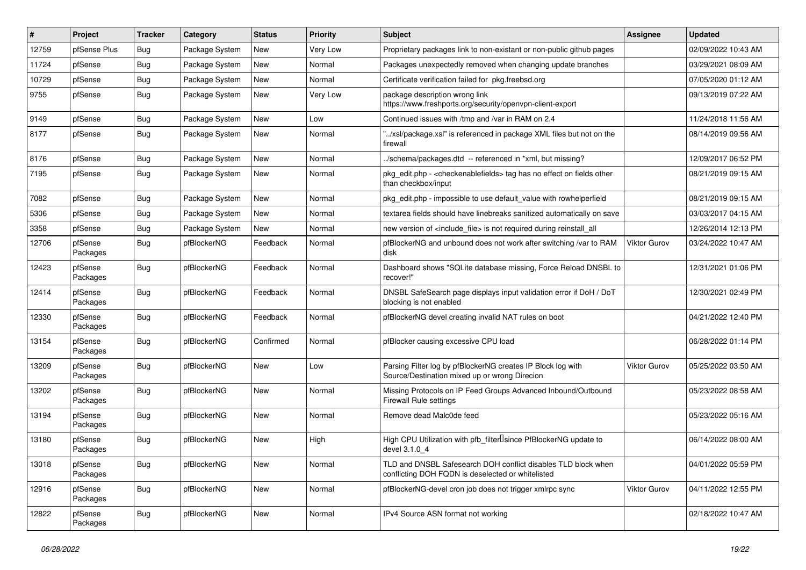| $\#$  | Project             | <b>Tracker</b> | Category       | <b>Status</b> | <b>Priority</b> | <b>Subject</b>                                                                                                     | <b>Assignee</b> | <b>Updated</b>      |
|-------|---------------------|----------------|----------------|---------------|-----------------|--------------------------------------------------------------------------------------------------------------------|-----------------|---------------------|
| 12759 | pfSense Plus        | Bug            | Package System | New           | Very Low        | Proprietary packages link to non-existant or non-public github pages                                               |                 | 02/09/2022 10:43 AM |
| 11724 | pfSense             | Bug            | Package System | <b>New</b>    | Normal          | Packages unexpectedly removed when changing update branches                                                        |                 | 03/29/2021 08:09 AM |
| 10729 | pfSense             | Bug            | Package System | <b>New</b>    | Normal          | Certificate verification failed for pkg.freebsd.org                                                                |                 | 07/05/2020 01:12 AM |
| 9755  | pfSense             | Bug            | Package System | <b>New</b>    | Very Low        | package description wrong link<br>https://www.freshports.org/security/openvpn-client-export                        |                 | 09/13/2019 07:22 AM |
| 9149  | pfSense             | Bug            | Package System | New           | Low             | Continued issues with /tmp and /var in RAM on 2.4                                                                  |                 | 11/24/2018 11:56 AM |
| 8177  | pfSense             | Bug            | Package System | New           | Normal          | '/xsl/package.xsl" is referenced in package XML files but not on the<br>firewall                                   |                 | 08/14/2019 09:56 AM |
| 8176  | pfSense             | Bug            | Package System | <b>New</b>    | Normal          | ./schema/packages.dtd -- referenced in *xml, but missing?                                                          |                 | 12/09/2017 06:52 PM |
| 7195  | pfSense             | Bug            | Package System | <b>New</b>    | Normal          | pkg_edit.php - < checkenablefields> tag has no effect on fields other<br>than checkbox/input                       |                 | 08/21/2019 09:15 AM |
| 7082  | pfSense             | <b>Bug</b>     | Package System | <b>New</b>    | Normal          | pkg edit.php - impossible to use default value with rowhelperfield                                                 |                 | 08/21/2019 09:15 AM |
| 5306  | pfSense             | <b>Bug</b>     | Package System | <b>New</b>    | Normal          | textarea fields should have linebreaks sanitized automatically on save                                             |                 | 03/03/2017 04:15 AM |
| 3358  | pfSense             | Bug            | Package System | New           | Normal          | new version of <include file=""> is not required during reinstall all</include>                                    |                 | 12/26/2014 12:13 PM |
| 12706 | pfSense<br>Packages | Bug            | pfBlockerNG    | Feedback      | Normal          | pfBlockerNG and unbound does not work after switching /var to RAM<br>disk                                          | Viktor Gurov    | 03/24/2022 10:47 AM |
| 12423 | pfSense<br>Packages | Bug            | pfBlockerNG    | Feedback      | Normal          | Dashboard shows "SQLite database missing, Force Reload DNSBL to<br>recover!"                                       |                 | 12/31/2021 01:06 PM |
| 12414 | pfSense<br>Packages | Bug            | pfBlockerNG    | Feedback      | Normal          | DNSBL SafeSearch page displays input validation error if DoH / DoT<br>blocking is not enabled                      |                 | 12/30/2021 02:49 PM |
| 12330 | pfSense<br>Packages | <b>Bug</b>     | pfBlockerNG    | Feedback      | Normal          | pfBlockerNG devel creating invalid NAT rules on boot                                                               |                 | 04/21/2022 12:40 PM |
| 13154 | pfSense<br>Packages | Bug            | pfBlockerNG    | Confirmed     | Normal          | pfBlocker causing excessive CPU load                                                                               |                 | 06/28/2022 01:14 PM |
| 13209 | pfSense<br>Packages | <b>Bug</b>     | pfBlockerNG    | New           | Low             | Parsing Filter log by pfBlockerNG creates IP Block log with<br>Source/Destination mixed up or wrong Direcion       | Viktor Gurov    | 05/25/2022 03:50 AM |
| 13202 | pfSense<br>Packages | <b>Bug</b>     | pfBlockerNG    | <b>New</b>    | Normal          | Missing Protocols on IP Feed Groups Advanced Inbound/Outbound<br><b>Firewall Rule settings</b>                     |                 | 05/23/2022 08:58 AM |
| 13194 | pfSense<br>Packages | Bug            | pfBlockerNG    | <b>New</b>    | Normal          | Remove dead Malc0de feed                                                                                           |                 | 05/23/2022 05:16 AM |
| 13180 | pfSense<br>Packages | Bug            | pfBlockerNG    | <b>New</b>    | High            | High CPU Utilization with pfb filter Isince PfBlockerNG update to<br>devel 3.1.0 4                                 |                 | 06/14/2022 08:00 AM |
| 13018 | pfSense<br>Packages | <b>Bug</b>     | pfBlockerNG    | <b>New</b>    | Normal          | TLD and DNSBL Safesearch DOH conflict disables TLD block when<br>conflicting DOH FQDN is deselected or whitelisted |                 | 04/01/2022 05:59 PM |
| 12916 | pfSense<br>Packages | Bug            | pfBlockerNG    | <b>New</b>    | Normal          | pfBlockerNG-devel cron job does not trigger xmlrpc sync                                                            | Viktor Gurov    | 04/11/2022 12:55 PM |
| 12822 | pfSense<br>Packages | <b>Bug</b>     | pfBlockerNG    | New           | Normal          | IPv4 Source ASN format not working                                                                                 |                 | 02/18/2022 10:47 AM |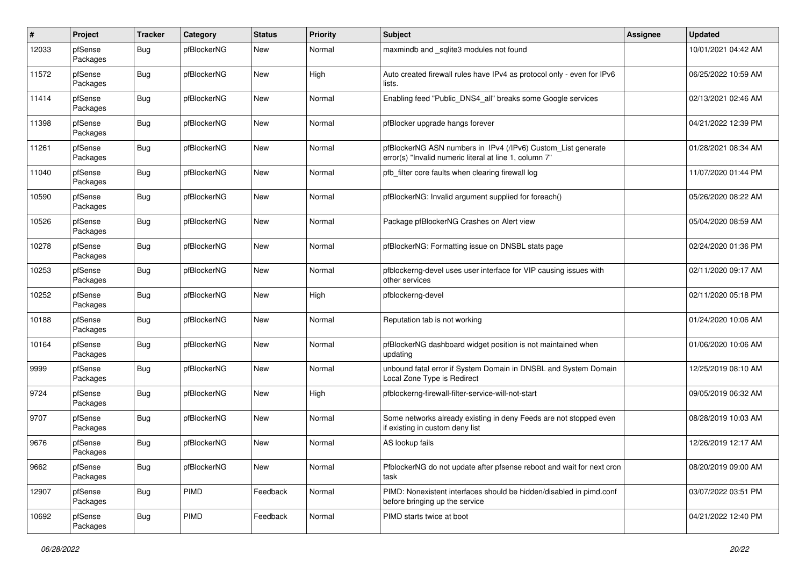| $\#$  | Project             | <b>Tracker</b> | Category    | <b>Status</b> | <b>Priority</b> | Subject                                                                                                                | <b>Assignee</b> | <b>Updated</b>      |
|-------|---------------------|----------------|-------------|---------------|-----------------|------------------------------------------------------------------------------------------------------------------------|-----------------|---------------------|
| 12033 | pfSense<br>Packages | Bug            | pfBlockerNG | New           | Normal          | maxmindb and _sqlite3 modules not found                                                                                |                 | 10/01/2021 04:42 AM |
| 11572 | pfSense<br>Packages | Bug            | pfBlockerNG | New           | High            | Auto created firewall rules have IPv4 as protocol only - even for IPv6<br>lists.                                       |                 | 06/25/2022 10:59 AM |
| 11414 | pfSense<br>Packages | <b>Bug</b>     | pfBlockerNG | New           | Normal          | Enabling feed "Public_DNS4_all" breaks some Google services                                                            |                 | 02/13/2021 02:46 AM |
| 11398 | pfSense<br>Packages | Bug            | pfBlockerNG | New           | Normal          | pfBlocker upgrade hangs forever                                                                                        |                 | 04/21/2022 12:39 PM |
| 11261 | pfSense<br>Packages | <b>Bug</b>     | pfBlockerNG | New           | Normal          | pfBlockerNG ASN numbers in IPv4 (/IPv6) Custom_List generate<br>error(s) "Invalid numeric literal at line 1, column 7" |                 | 01/28/2021 08:34 AM |
| 11040 | pfSense<br>Packages | <b>Bug</b>     | pfBlockerNG | New           | Normal          | pfb filter core faults when clearing firewall log                                                                      |                 | 11/07/2020 01:44 PM |
| 10590 | pfSense<br>Packages | Bug            | pfBlockerNG | New           | Normal          | pfBlockerNG: Invalid argument supplied for foreach()                                                                   |                 | 05/26/2020 08:22 AM |
| 10526 | pfSense<br>Packages | Bug            | pfBlockerNG | New           | Normal          | Package pfBlockerNG Crashes on Alert view                                                                              |                 | 05/04/2020 08:59 AM |
| 10278 | pfSense<br>Packages | <b>Bug</b>     | pfBlockerNG | New           | Normal          | pfBlockerNG: Formatting issue on DNSBL stats page                                                                      |                 | 02/24/2020 01:36 PM |
| 10253 | pfSense<br>Packages | <b>Bug</b>     | pfBlockerNG | New           | Normal          | pfblockerng-devel uses user interface for VIP causing issues with<br>other services                                    |                 | 02/11/2020 09:17 AM |
| 10252 | pfSense<br>Packages | Bug            | pfBlockerNG | New           | High            | pfblockerng-devel                                                                                                      |                 | 02/11/2020 05:18 PM |
| 10188 | pfSense<br>Packages | Bug            | pfBlockerNG | New           | Normal          | Reputation tab is not working                                                                                          |                 | 01/24/2020 10:06 AM |
| 10164 | pfSense<br>Packages | <b>Bug</b>     | pfBlockerNG | New           | Normal          | pfBlockerNG dashboard widget position is not maintained when<br>updating                                               |                 | 01/06/2020 10:06 AM |
| 9999  | pfSense<br>Packages | <b>Bug</b>     | pfBlockerNG | New           | Normal          | unbound fatal error if System Domain in DNSBL and System Domain<br>Local Zone Type is Redirect                         |                 | 12/25/2019 08:10 AM |
| 9724  | pfSense<br>Packages | Bug            | pfBlockerNG | New           | High            | pfblockerng-firewall-filter-service-will-not-start                                                                     |                 | 09/05/2019 06:32 AM |
| 9707  | pfSense<br>Packages | Bug            | pfBlockerNG | New           | Normal          | Some networks already existing in deny Feeds are not stopped even<br>if existing in custom deny list                   |                 | 08/28/2019 10:03 AM |
| 9676  | pfSense<br>Packages | <b>Bug</b>     | pfBlockerNG | New           | Normal          | AS lookup fails                                                                                                        |                 | 12/26/2019 12:17 AM |
| 9662  | pfSense<br>Packages | <b>Bug</b>     | pfBlockerNG | New           | Normal          | PfblockerNG do not update after pfsense reboot and wait for next cron<br>task                                          |                 | 08/20/2019 09:00 AM |
| 12907 | pfSense<br>Packages | <b>Bug</b>     | PIMD        | Feedback      | Normal          | PIMD: Nonexistent interfaces should be hidden/disabled in pimd.conf<br>before bringing up the service                  |                 | 03/07/2022 03:51 PM |
| 10692 | pfSense<br>Packages | <b>Bug</b>     | PIMD        | Feedback      | Normal          | PIMD starts twice at boot                                                                                              |                 | 04/21/2022 12:40 PM |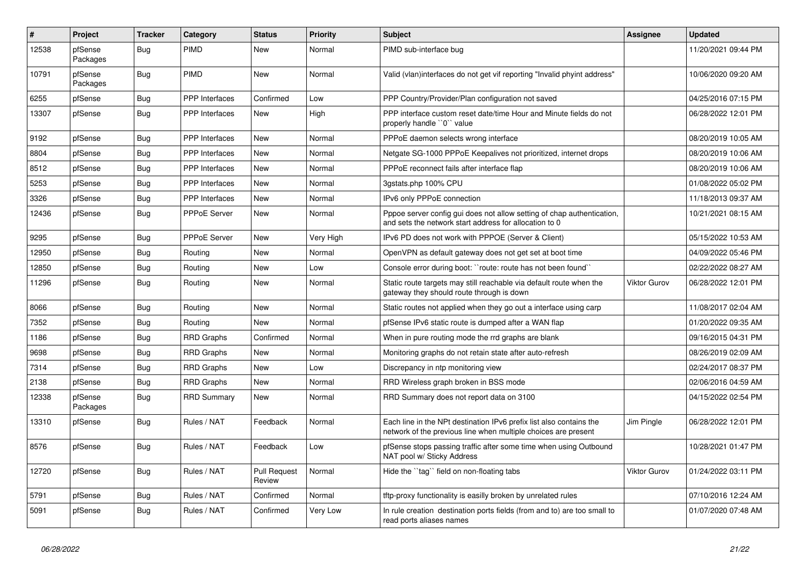| $\sharp$ | <b>Project</b>      | <b>Tracker</b> | Category              | <b>Status</b>                 | <b>Priority</b> | <b>Subject</b>                                                                                                                        | <b>Assignee</b> | <b>Updated</b>      |
|----------|---------------------|----------------|-----------------------|-------------------------------|-----------------|---------------------------------------------------------------------------------------------------------------------------------------|-----------------|---------------------|
| 12538    | pfSense<br>Packages | <b>Bug</b>     | PIMD                  | New                           | Normal          | PIMD sub-interface bug                                                                                                                |                 | 11/20/2021 09:44 PM |
| 10791    | pfSense<br>Packages | Bug            | <b>PIMD</b>           | <b>New</b>                    | Normal          | Valid (vlan)interfaces do not get vif reporting "Invalid phyint address"                                                              |                 | 10/06/2020 09:20 AM |
| 6255     | pfSense             | Bug            | <b>PPP</b> Interfaces | Confirmed                     | Low             | PPP Country/Provider/Plan configuration not saved                                                                                     |                 | 04/25/2016 07:15 PM |
| 13307    | pfSense             | Bug            | <b>PPP</b> Interfaces | New                           | High            | PPP interface custom reset date/time Hour and Minute fields do not<br>properly handle "0" value                                       |                 | 06/28/2022 12:01 PM |
| 9192     | pfSense             | Bug            | PPP Interfaces        | New                           | Normal          | PPPoE daemon selects wrong interface                                                                                                  |                 | 08/20/2019 10:05 AM |
| 8804     | pfSense             | Bug            | PPP Interfaces        | New                           | Normal          | Netgate SG-1000 PPPoE Keepalives not prioritized, internet drops                                                                      |                 | 08/20/2019 10:06 AM |
| 8512     | pfSense             | Bug            | <b>PPP</b> Interfaces | <b>New</b>                    | Normal          | PPPoE reconnect fails after interface flap                                                                                            |                 | 08/20/2019 10:06 AM |
| 5253     | pfSense             | Bug            | <b>PPP</b> Interfaces | <b>New</b>                    | Normal          | 3gstats.php 100% CPU                                                                                                                  |                 | 01/08/2022 05:02 PM |
| 3326     | pfSense             | Bug            | PPP Interfaces        | New                           | Normal          | IPv6 only PPPoE connection                                                                                                            |                 | 11/18/2013 09:37 AM |
| 12436    | pfSense             | Bug            | <b>PPPoE Server</b>   | New                           | Normal          | Pppoe server config gui does not allow setting of chap authentication,<br>and sets the network start address for allocation to 0      |                 | 10/21/2021 08:15 AM |
| 9295     | pfSense             | Bug            | <b>PPPoE Server</b>   | <b>New</b>                    | Very High       | IPv6 PD does not work with PPPOE (Server & Client)                                                                                    |                 | 05/15/2022 10:53 AM |
| 12950    | pfSense             | Bug            | Routing               | <b>New</b>                    | Normal          | OpenVPN as default gateway does not get set at boot time                                                                              |                 | 04/09/2022 05:46 PM |
| 12850    | pfSense             | Bug            | Routing               | <b>New</b>                    | Low             | Console error during boot: "route: route has not been found"                                                                          |                 | 02/22/2022 08:27 AM |
| 11296    | pfSense             | Bug            | Routing               | <b>New</b>                    | Normal          | Static route targets may still reachable via default route when the<br>gateway they should route through is down                      | Viktor Gurov    | 06/28/2022 12:01 PM |
| 8066     | pfSense             | Bug            | Routing               | <b>New</b>                    | Normal          | Static routes not applied when they go out a interface using carp                                                                     |                 | 11/08/2017 02:04 AM |
| 7352     | pfSense             | Bug            | Routing               | <b>New</b>                    | Normal          | pfSense IPv6 static route is dumped after a WAN flap                                                                                  |                 | 01/20/2022 09:35 AM |
| 1186     | pfSense             | <b>Bug</b>     | <b>RRD Graphs</b>     | Confirmed                     | Normal          | When in pure routing mode the rrd graphs are blank                                                                                    |                 | 09/16/2015 04:31 PM |
| 9698     | pfSense             | Bug            | <b>RRD Graphs</b>     | <b>New</b>                    | Normal          | Monitoring graphs do not retain state after auto-refresh                                                                              |                 | 08/26/2019 02:09 AM |
| 7314     | pfSense             | Bug            | <b>RRD Graphs</b>     | <b>New</b>                    | Low             | Discrepancy in ntp monitoring view                                                                                                    |                 | 02/24/2017 08:37 PM |
| 2138     | pfSense             | Bug            | <b>RRD Graphs</b>     | <b>New</b>                    | Normal          | RRD Wireless graph broken in BSS mode                                                                                                 |                 | 02/06/2016 04:59 AM |
| 12338    | pfSense<br>Packages | Bug            | <b>RRD Summary</b>    | New                           | Normal          | RRD Summary does not report data on 3100                                                                                              |                 | 04/15/2022 02:54 PM |
| 13310    | pfSense             | Bug            | Rules / NAT           | Feedback                      | Normal          | Each line in the NPt destination IPv6 prefix list also contains the<br>network of the previous line when multiple choices are present | Jim Pingle      | 06/28/2022 12:01 PM |
| 8576     | pfSense             | Bug            | Rules / NAT           | Feedback                      | Low             | pfSense stops passing traffic after some time when using Outbound<br>NAT pool w/ Sticky Address                                       |                 | 10/28/2021 01:47 PM |
| 12720    | pfSense             | Bug            | Rules / NAT           | <b>Pull Request</b><br>Review | Normal          | Hide the "tag" field on non-floating tabs                                                                                             | Viktor Gurov    | 01/24/2022 03:11 PM |
| 5791     | pfSense             | Bug            | Rules / NAT           | Confirmed                     | Normal          | tftp-proxy functionality is easilly broken by unrelated rules                                                                         |                 | 07/10/2016 12:24 AM |
| 5091     | pfSense             | Bug            | Rules / NAT           | Confirmed                     | Very Low        | In rule creation destination ports fields (from and to) are too small to<br>read ports aliases names                                  |                 | 01/07/2020 07:48 AM |